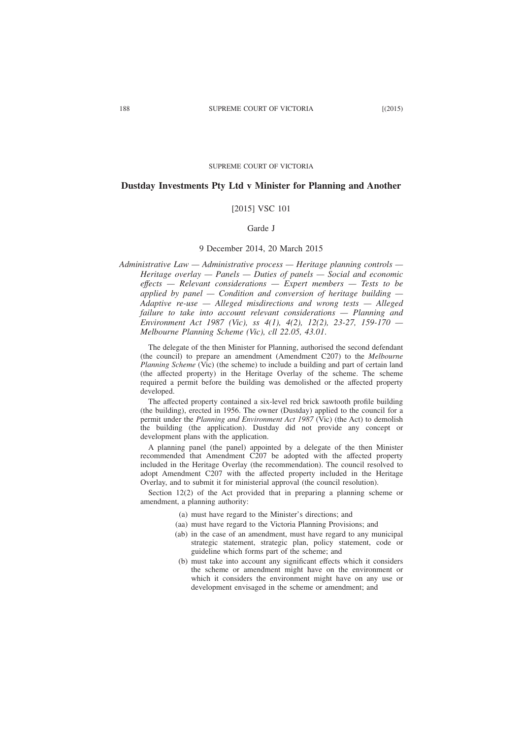SUPREME COURT OF VICTORIA

## **Dustday Investments Pty Ltd v Minister for Planning and Another**

# [2015] VSC 101

# Garde J

# 9 December 2014, 20 March 2015

*Administrative Law — Administrative process — Heritage planning controls — Heritage overlay — Panels — Duties of panels — Social and economic effects — Relevant considerations — Expert members — Tests to be applied by panel — Condition and conversion of heritage building — Adaptive re-use — Alleged misdirections and wrong tests — Alleged failure to take into account relevant considerations — Planning and Environment Act 1987 (Vic), ss 4(1), 4(2), 12(2), 23-27, 159-170 — Melbourne Planning Scheme (Vic), cll 22.05, 43.01*.

The delegate of the then Minister for Planning, authorised the second defendant (the council) to prepare an amendment (Amendment C207) to the *Melbourne Planning Scheme* (Vic) (the scheme) to include a building and part of certain land (the affected property) in the Heritage Overlay of the scheme. The scheme required a permit before the building was demolished or the affected property developed.

The affected property contained a six-level red brick sawtooth profile building (the building), erected in 1956. The owner (Dustday) applied to the council for a permit under the *Planning and Environment Act 1987* (Vic) (the Act) to demolish the building (the application). Dustday did not provide any concept or development plans with the application.

A planning panel (the panel) appointed by a delegate of the then Minister recommended that Amendment C207 be adopted with the affected property included in the Heritage Overlay (the recommendation). The council resolved to adopt Amendment C207 with the affected property included in the Heritage Overlay, and to submit it for ministerial approval (the council resolution).

Section 12(2) of the Act provided that in preparing a planning scheme or amendment, a planning authority:

- (a) must have regard to the Minister's directions; and
- (aa) must have regard to the Victoria Planning Provisions; and
- (ab) in the case of an amendment, must have regard to any municipal strategic statement, strategic plan, policy statement, code or guideline which forms part of the scheme; and
- (b) must take into account any significant effects which it considers the scheme or amendment might have on the environment or which it considers the environment might have on any use or development envisaged in the scheme or amendment; and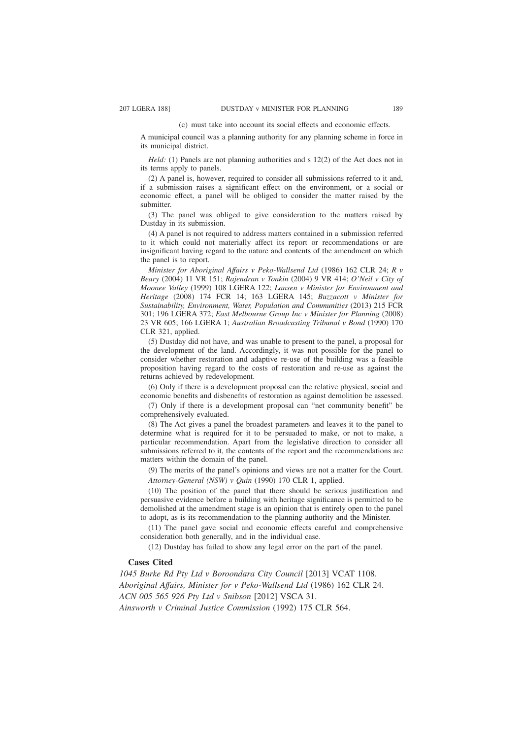#### (c) must take into account its social effects and economic effects.

A municipal council was a planning authority for any planning scheme in force in its municipal district.

*Held:* (1) Panels are not planning authorities and s 12(2) of the Act does not in its terms apply to panels.

(2) A panel is, however, required to consider all submissions referred to it and, if a submission raises a significant effect on the environment, or a social or economic effect, a panel will be obliged to consider the matter raised by the submitter.

(3) The panel was obliged to give consideration to the matters raised by Dustday in its submission.

(4) A panel is not required to address matters contained in a submission referred to it which could not materially affect its report or recommendations or are insignificant having regard to the nature and contents of the amendment on which the panel is to report.

*Minister for Aboriginal Affairs v Peko-Wallsend Ltd* (1986) 162 CLR 24; *R v Beary* (2004) 11 VR 151; *Rajendran v Tonkin* (2004) 9 VR 414; *O'Neil v City of Moonee Valley* (1999) 108 LGERA 122; *Lansen v Minister for Environment and Heritage* (2008) 174 FCR 14; 163 LGERA 145; *Buzzacott v Minister for Sustainability, Environment, Water, Population and Communities* (2013) 215 FCR 301; 196 LGERA 372; *East Melbourne Group Inc v Minister for Planning* (2008) 23 VR 605; 166 LGERA 1; *Australian Broadcasting Tribunal v Bond* (1990) 170 CLR 321, applied.

(5) Dustday did not have, and was unable to present to the panel, a proposal for the development of the land. Accordingly, it was not possible for the panel to consider whether restoration and adaptive re-use of the building was a feasible proposition having regard to the costs of restoration and re-use as against the returns achieved by redevelopment.

(6) Only if there is a development proposal can the relative physical, social and economic benefits and disbenefits of restoration as against demolition be assessed.

(7) Only if there is a development proposal can "net community benefit" be comprehensively evaluated.

(8) The Act gives a panel the broadest parameters and leaves it to the panel to determine what is required for it to be persuaded to make, or not to make, a particular recommendation. Apart from the legislative direction to consider all submissions referred to it, the contents of the report and the recommendations are matters within the domain of the panel.

(9) The merits of the panel's opinions and views are not a matter for the Court. *Attorney-General (NSW) v Quin* (1990) 170 CLR 1, applied.

(10) The position of the panel that there should be serious justification and persuasive evidence before a building with heritage significance is permitted to be demolished at the amendment stage is an opinion that is entirely open to the panel to adopt, as is its recommendation to the planning authority and the Minister.

(11) The panel gave social and economic effects careful and comprehensive consideration both generally, and in the individual case.

(12) Dustday has failed to show any legal error on the part of the panel.

# **Cases Cited**

*1045 Burke Rd Pty Ltd v Boroondara City Council* [2013] VCAT 1108. *Aboriginal Affairs, Minister for v Peko-Wallsend Ltd* (1986) 162 CLR 24. *ACN 005 565 926 Pty Ltd v Snibson* [2012] VSCA 31. *Ainsworth v Criminal Justice Commission* (1992) 175 CLR 564.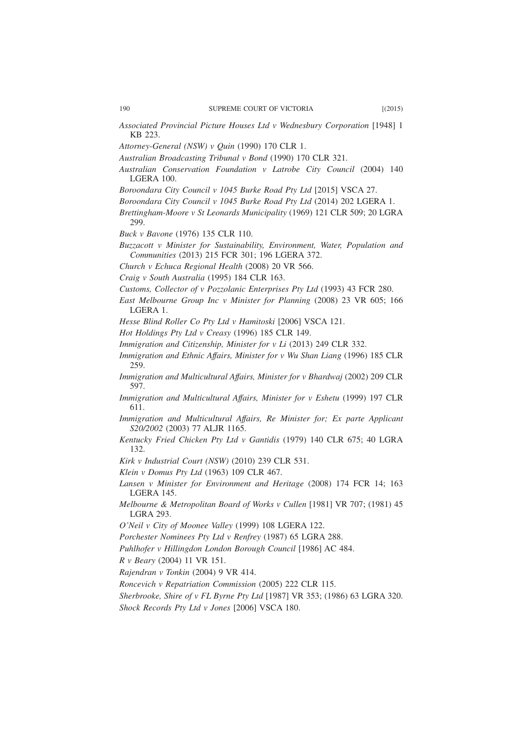- *Attorney-General (NSW) v Quin* (1990) 170 CLR 1.
- *Australian Broadcasting Tribunal v Bond* (1990) 170 CLR 321.
- *Australian Conservation Foundation v Latrobe City Council* (2004) 140 LGERA 100.
- *Boroondara City Council v 1045 Burke Road Pty Ltd* [2015] VSCA 27.
- *Boroondara City Council v 1045 Burke Road Pty Ltd* (2014) 202 LGERA 1.
- *Brettingham-Moore v St Leonards Municipality* (1969) 121 CLR 509; 20 LGRA 299.
- *Buck v Bavone* (1976) 135 CLR 110.
- *Buzzacott v Minister for Sustainability, Environment, Water, Population and Communities* (2013) 215 FCR 301; 196 LGERA 372.
- *Church v Echuca Regional Health* (2008) 20 VR 566.
- *Craig v South Australia* (1995) 184 CLR 163.
- *Customs, Collector of v Pozzolanic Enterprises Pty Ltd* (1993) 43 FCR 280.
- *East Melbourne Group Inc v Minister for Planning* (2008) 23 VR 605; 166 LGERA 1.
- *Hesse Blind Roller Co Pty Ltd v Hamitoski* [2006] VSCA 121.
- *Hot Holdings Pty Ltd v Creasy* (1996) 185 CLR 149.
- *Immigration and Citizenship, Minister for v Li* (2013) 249 CLR 332.
- *Immigration and Ethnic Affairs, Minister for v Wu Shan Liang* (1996) 185 CLR 259.
- *Immigration and Multicultural Affairs, Minister for v Bhardwaj* (2002) 209 CLR 597.
- *Immigration and Multicultural Affairs, Minister for v Eshetu* (1999) 197 CLR 611.
- *Immigration and Multicultural Affairs, Re Minister for; Ex parte Applicant S20/2002* (2003) 77 ALJR 1165.
- *Kentucky Fried Chicken Pty Ltd v Gantidis* (1979) 140 CLR 675; 40 LGRA 132.
- *Kirk v Industrial Court (NSW)* (2010) 239 CLR 531.
- *Klein v Domus Pty Ltd* (1963) 109 CLR 467.
- *Lansen v Minister for Environment and Heritage* (2008) 174 FCR 14; 163 LGERA 145.
- *Melbourne & Metropolitan Board of Works v Cullen* [1981] VR 707; (1981) 45 LGRA 293.
- *O'Neil v City of Moonee Valley* (1999) 108 LGERA 122.
- *Porchester Nominees Pty Ltd v Renfrey* (1987) 65 LGRA 288.
- *Puhlhofer v Hillingdon London Borough Council* [1986] AC 484.
- *R v Beary* (2004) 11 VR 151.
- *Rajendran v Tonkin* (2004) 9 VR 414.
- *Roncevich v Repatriation Commission* (2005) 222 CLR 115.
- *Sherbrooke, Shire of v FL Byrne Pty Ltd* [1987] VR 353; (1986) 63 LGRA 320.
- *Shock Records Pty Ltd v Jones* [2006] VSCA 180.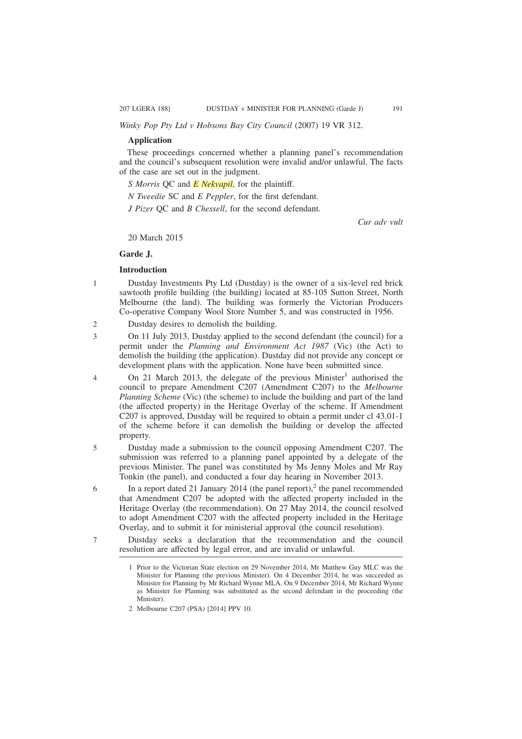*Winky Pop Pty Ltd v Hobsons Bay City Council* (2007) 19 VR 312.

## **Application**

These proceedings concerned whether a planning panel's recommendation and the council's subsequent resolution were invalid and/or unlawful. The facts of the case are set out in the judgment.

*S Morris* QC and *E Nekvapil*, for the plaintiff.

*N Tweedie* SC and *E Peppler*, for the first defendant.

*J Pizer* OC and *B Chessell*, for the second defendant.

*Cur adv vult*

20 March 2015

# **Garde J.**

1

5

6

7

## **Introduction**

Dustday Investments Pty Ltd (Dustday) is the owner of a six-level red brick sawtooth profile building (the building) located at 85-105 Sutton Street, North Melbourne (the land). The building was formerly the Victorian Producers Co-operative Company Wool Store Number 5, and was constructed in 1956.

- Dustday desires to demolish the building.  $\mathcal{L}$
- On 11 July 2013, Dustday applied to the second defendant (the council) for a permit under the *Planning and Environment Act 1987* (Vic) (the Act) to demolish the building (the application). Dustday did not provide any concept or development plans with the application. None have been submitted since. 3
- On 21 March 2013, the delegate of the previous Minister<sup>1</sup> authorised the council to prepare Amendment C207 (Amendment C207) to the *Melbourne Planning Scheme* (Vic) (the scheme) to include the building and part of the land (the affected property) in the Heritage Overlay of the scheme. If Amendment C207 is approved, Dustday will be required to obtain a permit under cl 43.01-1 of the scheme before it can demolish the building or develop the affected property. 4
	- Dustday made a submission to the council opposing Amendment C207. The submission was referred to a planning panel appointed by a delegate of the previous Minister. The panel was constituted by Ms Jenny Moles and Mr Ray Tonkin (the panel), and conducted a four day hearing in November 2013.
	- In a report dated 21 January 2014 (the panel report),<sup>2</sup> the panel recommended that Amendment C207 be adopted with the affected property included in the Heritage Overlay (the recommendation). On 27 May 2014, the council resolved to adopt Amendment C207 with the affected property included in the Heritage Overlay, and to submit it for ministerial approval (the council resolution).

Dustday seeks a declaration that the recommendation and the council resolution are affected by legal error, and are invalid or unlawful.

<sup>1</sup> Prior to the Victorian State election on 29 November 2014, Mr Matthew Guy MLC was the Minister for Planning (the previous Minister). On 4 December 2014, he was succeeded as Minister for Planning by Mr Richard Wynne MLA. On 9 December 2014, Mr Richard Wynne as Minister for Planning was substituted as the second defendant in the proceeding (the Minister).

<sup>2</sup> Melbourne C207 (PSA) [2014] PPV 10.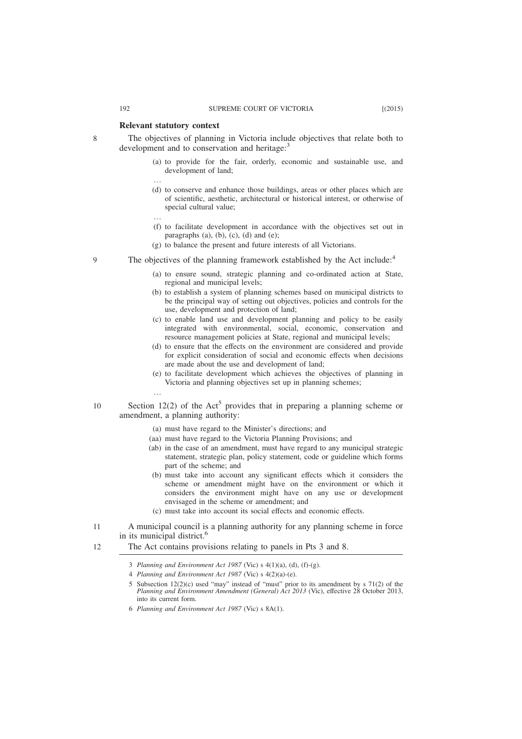## **Relevant statutory context**

…

…

…

The objectives of planning in Victoria include objectives that relate both to development and to conservation and heritage:<sup>3</sup>

- (a) to provide for the fair, orderly, economic and sustainable use, and development of land;
- (d) to conserve and enhance those buildings, areas or other places which are of scientific, aesthetic, architectural or historical interest, or otherwise of special cultural value;
- (f) to facilitate development in accordance with the objectives set out in paragraphs (a), (b), (c), (d) and (e);
- (g) to balance the present and future interests of all Victorians.
- The objectives of the planning framework established by the Act include:<sup>4</sup> 9
	- (a) to ensure sound, strategic planning and co-ordinated action at State, regional and municipal levels;
	- (b) to establish a system of planning schemes based on municipal districts to be the principal way of setting out objectives, policies and controls for the use, development and protection of land;
	- (c) to enable land use and development planning and policy to be easily integrated with environmental, social, economic, conservation and resource management policies at State, regional and municipal levels;
	- (d) to ensure that the effects on the environment are considered and provide for explicit consideration of social and economic effects when decisions are made about the use and development of land;
	- (e) to facilitate development which achieves the objectives of planning in Victoria and planning objectives set up in planning schemes;
- 10
- Section  $12(2)$  of the Act<sup>5</sup> provides that in preparing a planning scheme or amendment, a planning authority:
	- (a) must have regard to the Minister's directions; and
	- (aa) must have regard to the Victoria Planning Provisions; and
	- (ab) in the case of an amendment, must have regard to any municipal strategic statement, strategic plan, policy statement, code or guideline which forms part of the scheme; and
	- (b) must take into account any significant effects which it considers the scheme or amendment might have on the environment or which it considers the environment might have on any use or development envisaged in the scheme or amendment; and
	- (c) must take into account its social effects and economic effects.
- A municipal council is a planning authority for any planning scheme in force in its municipal district.<sup>6</sup> 11
- The Act contains provisions relating to panels in Pts 3 and 8. 12

- 4 *Planning and Environment Act 1987* (Vic) s 4(2)(a)-(e).
- 5 Subsection  $12(2)(c)$  used "may" instead of "must" prior to its amendment by s 71(2) of the *Planning and Environment Amendment (General) Act 2013* (Vic), effective 28 October 2013, into its current form.
- 6 *Planning and Environment Act 1987* (Vic) s 8A(1).

<sup>3</sup> *Planning and Environment Act 1987* (Vic) s 4(1)(a), (d), (f)-(g).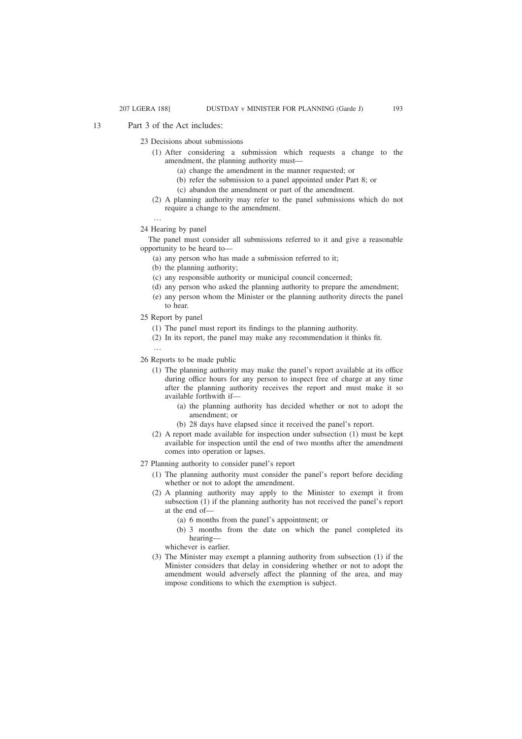Part 3 of the Act includes: 13

23 Decisions about submissions

- (1) After considering a submission which requests a change to the amendment, the planning authority must—
	- (a) change the amendment in the manner requested; or
	- (b) refer the submission to a panel appointed under Part 8; or
	- (c) abandon the amendment or part of the amendment.
- (2) A planning authority may refer to the panel submissions which do not require a change to the amendment.

…

24 Hearing by panel

The panel must consider all submissions referred to it and give a reasonable opportunity to be heard to—

- (a) any person who has made a submission referred to it;
- (b) the planning authority;
- (c) any responsible authority or municipal council concerned;
- (d) any person who asked the planning authority to prepare the amendment;
- (e) any person whom the Minister or the planning authority directs the panel to hear.
- 25 Report by panel
	- (1) The panel must report its findings to the planning authority.
	- (2) In its report, the panel may make any recommendation it thinks fit.
	- …
- 26 Reports to be made public
	- (1) The planning authority may make the panel's report available at its office during office hours for any person to inspect free of charge at any time after the planning authority receives the report and must make it so available forthwith if—
		- (a) the planning authority has decided whether or not to adopt the amendment; or
		- (b) 28 days have elapsed since it received the panel's report.
	- (2) A report made available for inspection under subsection (1) must be kept available for inspection until the end of two months after the amendment comes into operation or lapses.

27 Planning authority to consider panel's report

- (1) The planning authority must consider the panel's report before deciding whether or not to adopt the amendment.
- (2) A planning authority may apply to the Minister to exempt it from subsection (1) if the planning authority has not received the panel's report at the end of—
	- (a) 6 months from the panel's appointment; or
	- (b) 3 months from the date on which the panel completed its hearing—
	- whichever is earlier.
- (3) The Minister may exempt a planning authority from subsection (1) if the Minister considers that delay in considering whether or not to adopt the amendment would adversely affect the planning of the area, and may impose conditions to which the exemption is subject.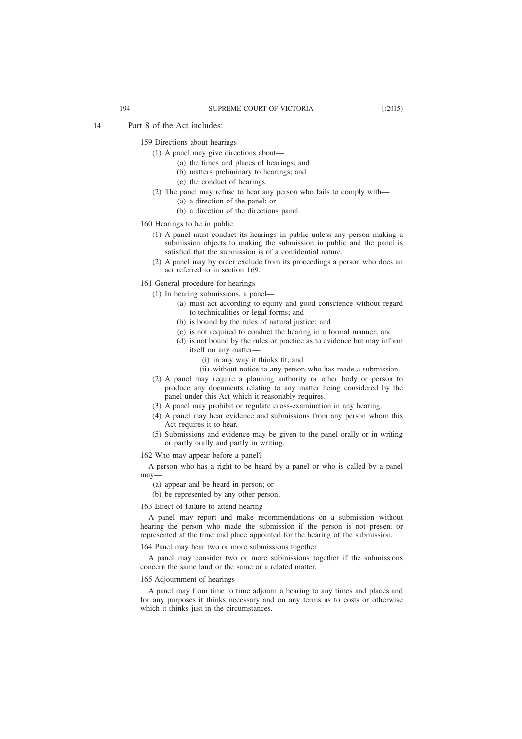159 Directions about hearings

- (1) A panel may give directions about—
	- (a) the times and places of hearings; and
	- (b) matters preliminary to hearings; and
	- (c) the conduct of hearings.
- (2) The panel may refuse to hear any person who fails to comply with—
	- (a) a direction of the panel; or
	- (b) a direction of the directions panel.
- 160 Hearings to be in public
	- (1) A panel must conduct its hearings in public unless any person making a submission objects to making the submission in public and the panel is satisfied that the submission is of a confidential nature.
	- (2) A panel may by order exclude from its proceedings a person who does an act referred to in section 169.
- 161 General procedure for hearings
	- (1) In hearing submissions, a panel—
		- (a) must act according to equity and good conscience without regard to technicalities or legal forms; and
		- (b) is bound by the rules of natural justice; and
		- (c) is not required to conduct the hearing in a formal manner; and
		- (d) is not bound by the rules or practice as to evidence but may inform itself on any matter—
			- (i) in any way it thinks fit; and
			- (ii) without notice to any person who has made a submission.
	- (2) A panel may require a planning authority or other body or person to produce any documents relating to any matter being considered by the panel under this Act which it reasonably requires.
	- (3) A panel may prohibit or regulate cross-examination in any hearing.
	- (4) A panel may hear evidence and submissions from any person whom this Act requires it to hear.
	- (5) Submissions and evidence may be given to the panel orally or in writing or partly orally and partly in writing.
- 162 Who may appear before a panel?

A person who has a right to be heard by a panel or who is called by a panel may—

- (a) appear and be heard in person; or
- (b) be represented by any other person.
- 163 Effect of failure to attend hearing

A panel may report and make recommendations on a submission without hearing the person who made the submission if the person is not present or represented at the time and place appointed for the hearing of the submission.

164 Panel may hear two or more submissions together

A panel may consider two or more submissions together if the submissions concern the same land or the same or a related matter.

#### 165 Adjournment of hearings

A panel may from time to time adjourn a hearing to any times and places and for any purposes it thinks necessary and on any terms as to costs or otherwise which it thinks just in the circumstances.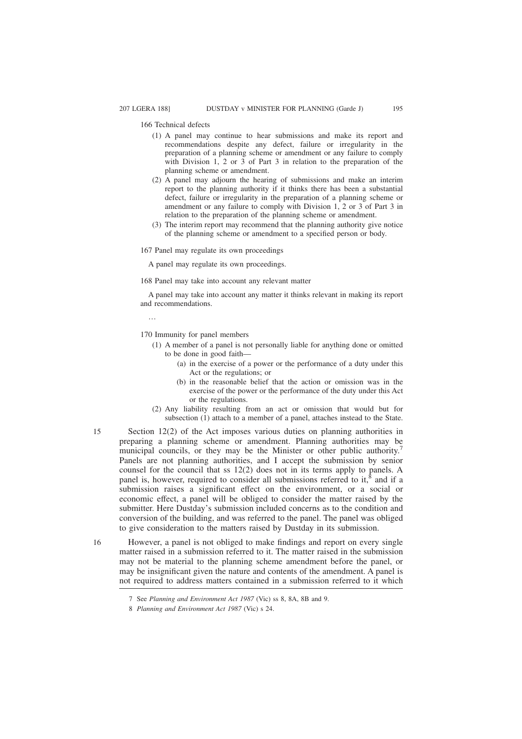166 Technical defects

- (1) A panel may continue to hear submissions and make its report and recommendations despite any defect, failure or irregularity in the preparation of a planning scheme or amendment or any failure to comply with Division 1, 2 or 3 of Part 3 in relation to the preparation of the planning scheme or amendment.
- (2) A panel may adjourn the hearing of submissions and make an interim report to the planning authority if it thinks there has been a substantial defect, failure or irregularity in the preparation of a planning scheme or amendment or any failure to comply with Division 1, 2 or 3 of Part 3 in relation to the preparation of the planning scheme or amendment.
- (3) The interim report may recommend that the planning authority give notice of the planning scheme or amendment to a specified person or body.

167 Panel may regulate its own proceedings

A panel may regulate its own proceedings.

168 Panel may take into account any relevant matter

A panel may take into account any matter it thinks relevant in making its report and recommendations.

…

15

16

170 Immunity for panel members

- (1) A member of a panel is not personally liable for anything done or omitted to be done in good faith—
	- (a) in the exercise of a power or the performance of a duty under this Act or the regulations; or
	- (b) in the reasonable belief that the action or omission was in the exercise of the power or the performance of the duty under this Act or the regulations.
- (2) Any liability resulting from an act or omission that would but for subsection (1) attach to a member of a panel, attaches instead to the State.
- Section 12(2) of the Act imposes various duties on planning authorities in preparing a planning scheme or amendment. Planning authorities may be municipal councils, or they may be the Minister or other public authority.<sup>7</sup> Panels are not planning authorities, and I accept the submission by senior counsel for the council that ss 12(2) does not in its terms apply to panels. A panel is, however, required to consider all submissions referred to it,<sup> $§$ </sup> and if a submission raises a significant effect on the environment, or a social or economic effect, a panel will be obliged to consider the matter raised by the submitter. Here Dustday's submission included concerns as to the condition and conversion of the building, and was referred to the panel. The panel was obliged to give consideration to the matters raised by Dustday in its submission.

However, a panel is not obliged to make findings and report on every single matter raised in a submission referred to it. The matter raised in the submission may not be material to the planning scheme amendment before the panel, or may be insignificant given the nature and contents of the amendment. A panel is not required to address matters contained in a submission referred to it which

<sup>7</sup> See *Planning and Environment Act 1987* (Vic) ss 8, 8A, 8B and 9.

<sup>8</sup> *Planning and Environment Act 1987* (Vic) s 24.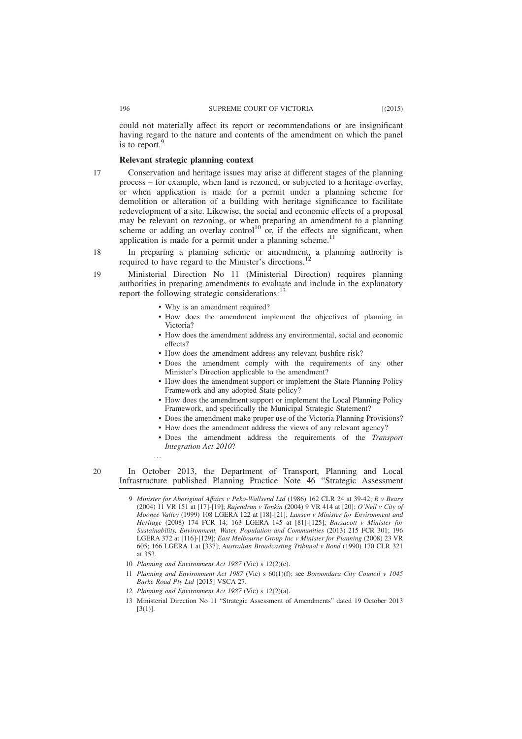could not materially affect its report or recommendations or are insignificant having regard to the nature and contents of the amendment on which the panel is to report. $\frac{9}{5}$ 

# **Relevant strategic planning context**

- Conservation and heritage issues may arise at different stages of the planning process – for example, when land is rezoned, or subjected to a heritage overlay, or when application is made for a permit under a planning scheme for demolition or alteration of a building with heritage significance to facilitate redevelopment of a site. Likewise, the social and economic effects of a proposal may be relevant on rezoning, or when preparing an amendment to a planning scheme or adding an overlay control<sup>10</sup> or, if the effects are significant, when application is made for a permit under a planning scheme.<sup>11</sup>
- In preparing a planning scheme or amendment, a planning authority is required to have regard to the Minister's directions.<sup>12</sup> 18

Ministerial Direction No 11 (Ministerial Direction) requires planning authorities in preparing amendments to evaluate and include in the explanatory report the following strategic considerations: $^{13}$ 

- Why is an amendment required?
- How does the amendment implement the objectives of planning in Victoria?
- How does the amendment address any environmental, social and economic effects?
- How does the amendment address any relevant bushfire risk?
- Does the amendment comply with the requirements of any other Minister's Direction applicable to the amendment?
- How does the amendment support or implement the State Planning Policy Framework and any adopted State policy?
- How does the amendment support or implement the Local Planning Policy Framework, and specifically the Municipal Strategic Statement?
- Does the amendment make proper use of the Victoria Planning Provisions?
- How does the amendment address the views of any relevant agency?
- Does the amendment address the requirements of the *Transport Integration Act 2010*?

…

20

In October 2013, the Department of Transport, Planning and Local Infrastructure published Planning Practice Note 46 "Strategic Assessment

- 9 *Minister for Aboriginal Affairs v Peko-Wallsend Ltd* (1986) 162 CLR 24 at 39-42; *R v Beary* (2004) 11 VR 151 at [17]-[19]; *Rajendran v Tonkin* (2004) 9 VR 414 at [20]; *O'Neil v City of Moonee Valley* (1999) 108 LGERA 122 at [18]-[21]; *Lansen v Minister for Environment and Heritage* (2008) 174 FCR 14; 163 LGERA 145 at [81]-[125]; *Buzzacott v Minister for Sustainability, Environment, Water, Population and Communities* (2013) 215 FCR 301; 196 LGERA 372 at [116]-[129]; *East Melbourne Group Inc v Minister for Planning* (2008) 23 VR 605; 166 LGERA 1 at [337]; *Australian Broadcasting Tribunal v Bond* (1990) 170 CLR 321 at 353.
- 10 *Planning and Environment Act 1987* (Vic) s 12(2)(c).
- 11 *Planning and Environment Act 1987* (Vic) s 60(1)(f); see *Boroondara City Council v 1045 Burke Road Pty Ltd* [2015] VSCA 27.
- 12 *Planning and Environment Act 1987* (Vic) s 12(2)(a).
- 13 Ministerial Direction No 11 "Strategic Assessment of Amendments" dated 19 October 2013  $[3(1)]$ .

19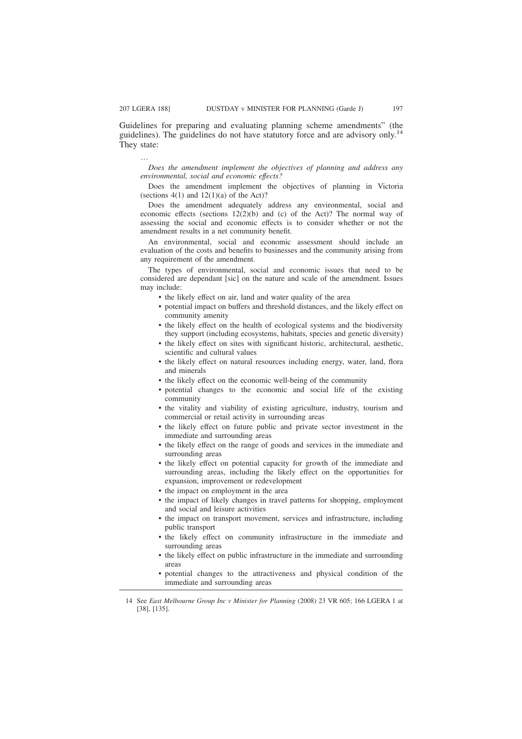Guidelines for preparing and evaluating planning scheme amendments" (the guidelines). The guidelines do not have statutory force and are advisory only.<sup>14</sup> They state:

…

*Does the amendment implement the objectives of planning and address any environmental, social and economic effects?*

Does the amendment implement the objectives of planning in Victoria (sections  $4(1)$  and  $12(1)(a)$  of the Act)?

Does the amendment adequately address any environmental, social and economic effects (sections 12(2)(b) and (c) of the Act)? The normal way of assessing the social and economic effects is to consider whether or not the amendment results in a net community benefit.

An environmental, social and economic assessment should include an evaluation of the costs and benefits to businesses and the community arising from any requirement of the amendment.

The types of environmental, social and economic issues that need to be considered are dependant [sic] on the nature and scale of the amendment. Issues may include:

- the likely effect on air, land and water quality of the area
- potential impact on buffers and threshold distances, and the likely effect on community amenity
- the likely effect on the health of ecological systems and the biodiversity they support (including ecosystems, habitats, species and genetic diversity)
- the likely effect on sites with significant historic, architectural, aesthetic, scientific and cultural values
- the likely effect on natural resources including energy, water, land, flora and minerals
- the likely effect on the economic well-being of the community
- potential changes to the economic and social life of the existing community
- the vitality and viability of existing agriculture, industry, tourism and commercial or retail activity in surrounding areas
- the likely effect on future public and private sector investment in the immediate and surrounding areas
- the likely effect on the range of goods and services in the immediate and surrounding areas
- the likely effect on potential capacity for growth of the immediate and surrounding areas, including the likely effect on the opportunities for expansion, improvement or redevelopment
- the impact on employment in the area
- the impact of likely changes in travel patterns for shopping, employment and social and leisure activities
- the impact on transport movement, services and infrastructure, including public transport
- the likely effect on community infrastructure in the immediate and surrounding areas
- the likely effect on public infrastructure in the immediate and surrounding areas
- potential changes to the attractiveness and physical condition of the immediate and surrounding areas

<sup>14</sup> See *East Melbourne Group Inc v Minister for Planning* (2008) 23 VR 605; 166 LGERA 1 at [38], [135].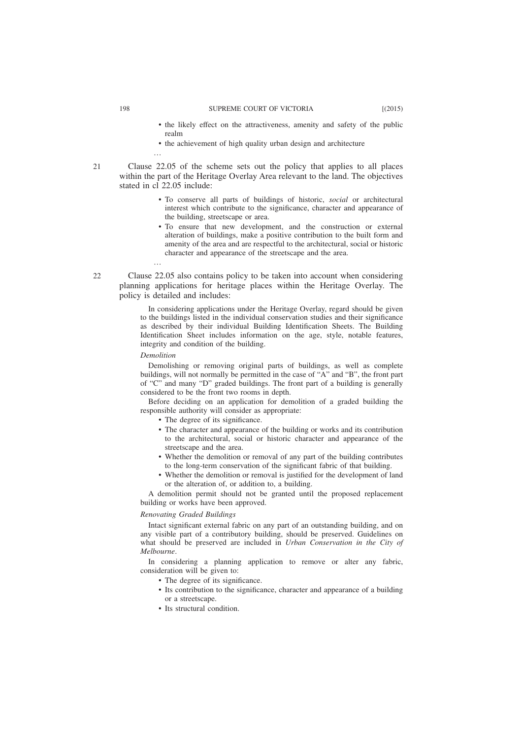- the likely effect on the attractiveness, amenity and safety of the public realm
- the achievement of high quality urban design and architecture

…

Clause 22.05 of the scheme sets out the policy that applies to all places within the part of the Heritage Overlay Area relevant to the land. The objectives stated in cl 22.05 include:

- To conserve all parts of buildings of historic, *social* or architectural interest which contribute to the significance, character and appearance of the building, streetscape or area.
- To ensure that new development, and the construction or external alteration of buildings, make a positive contribution to the built form and amenity of the area and are respectful to the architectural, social or historic character and appearance of the streetscape and the area.
- Clause 22.05 also contains policy to be taken into account when considering planning applications for heritage places within the Heritage Overlay. The policy is detailed and includes:

In considering applications under the Heritage Overlay, regard should be given to the buildings listed in the individual conservation studies and their significance as described by their individual Building Identification Sheets. The Building Identification Sheet includes information on the age, style, notable features, integrity and condition of the building.

### *Demolition*

…

Demolishing or removing original parts of buildings, as well as complete buildings, will not normally be permitted in the case of "A" and "B", the front part of "C" and many "D" graded buildings. The front part of a building is generally considered to be the front two rooms in depth.

Before deciding on an application for demolition of a graded building the responsible authority will consider as appropriate:

- The degree of its significance.
- The character and appearance of the building or works and its contribution to the architectural, social or historic character and appearance of the streetscape and the area.
- Whether the demolition or removal of any part of the building contributes to the long-term conservation of the significant fabric of that building.
- Whether the demolition or removal is justified for the development of land or the alteration of, or addition to, a building.

A demolition permit should not be granted until the proposed replacement building or works have been approved.

#### *Renovating Graded Buildings*

Intact significant external fabric on any part of an outstanding building, and on any visible part of a contributory building, should be preserved. Guidelines on what should be preserved are included in *Urban Conservation in the City of Melbourne*.

In considering a planning application to remove or alter any fabric, consideration will be given to:

- The degree of its significance.
- Its contribution to the significance, character and appearance of a building or a streetscape.
- Its structural condition.

 $21$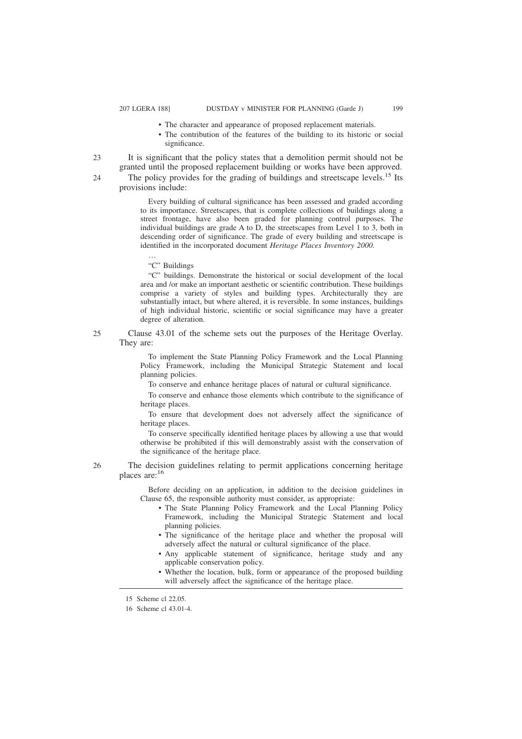- The character and appearance of proposed replacement materials.
- The contribution of the features of the building to its historic or social significance.

It is significant that the policy states that a demolition permit should not be granted until the proposed replacement building or works have been approved.  $23$ 

24

The policy provides for the grading of buildings and streetscape levels.<sup>15</sup> Its provisions include:

Every building of cultural significance has been assessed and graded according to its importance. Streetscapes, that is complete collections of buildings along a street frontage, have also been graded for planning control purposes. The individual buildings are grade A to  $\overline{D}$ , the streetscapes from Level 1 to 3, both in descending order of significance. The grade of every building and streetscape is identified in the incorporated document *Heritage Places Inventory 2000.*

"C" Buildings

…

"C" buildings. Demonstrate the historical or social development of the local area and /or make an important aesthetic or scientific contribution. These buildings comprise a variety of styles and building types. Architecturally they are substantially intact, but where altered, it is reversible. In some instances, buildings of high individual historic, scientific or social significance may have a greater degree of alteration.

Clause 43.01 of the scheme sets out the purposes of the Heritage Overlay. They are:

> To implement the State Planning Policy Framework and the Local Planning Policy Framework, including the Municipal Strategic Statement and local planning policies.

To conserve and enhance heritage places of natural or cultural significance.

To conserve and enhance those elements which contribute to the significance of heritage places.

To ensure that development does not adversely affect the significance of heritage places.

To conserve specifically identified heritage places by allowing a use that would otherwise be prohibited if this will demonstrably assist with the conservation of the significance of the heritage place.

The decision guidelines relating to permit applications concerning heritage places are:<sup>16</sup>

Before deciding on an application, in addition to the decision guidelines in Clause 65, the responsible authority must consider, as appropriate:

- The State Planning Policy Framework and the Local Planning Policy Framework, including the Municipal Strategic Statement and local planning policies.
- The significance of the heritage place and whether the proposal will adversely affect the natural or cultural significance of the place.
- Any applicable statement of significance, heritage study and any applicable conservation policy.
- Whether the location, bulk, form or appearance of the proposed building will adversely affect the significance of the heritage place.

25

<sup>15</sup> Scheme cl 22.05.

<sup>16</sup> Scheme cl 43.01-4.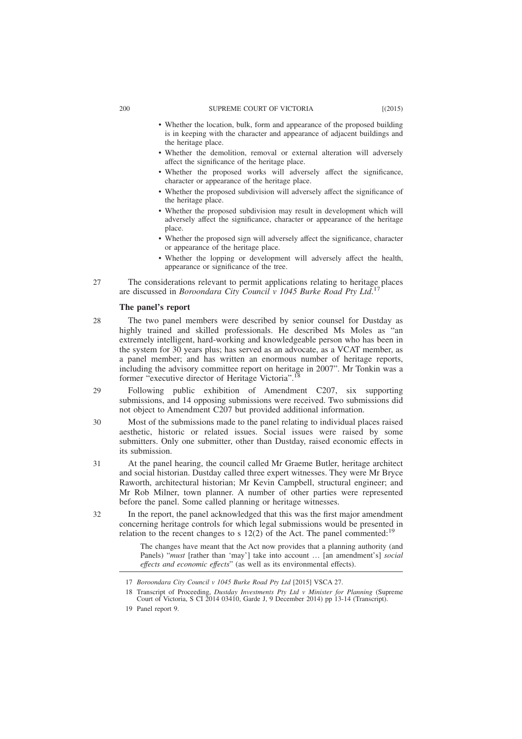#### 200 SUPREME COURT OF VICTORIA [(2015)

- Whether the location, bulk, form and appearance of the proposed building is in keeping with the character and appearance of adjacent buildings and the heritage place.
- Whether the demolition, removal or external alteration will adversely affect the significance of the heritage place.
- Whether the proposed works will adversely affect the significance, character or appearance of the heritage place.
- Whether the proposed subdivision will adversely affect the significance of the heritage place.
- Whether the proposed subdivision may result in development which will adversely affect the significance, character or appearance of the heritage place.
- Whether the proposed sign will adversely affect the significance, character or appearance of the heritage place.
- Whether the lopping or development will adversely affect the health, appearance or significance of the tree.
- The considerations relevant to permit applications relating to heritage places are discussed in *Boroondara City Council v 1045 Burke Road Pty Ltd*. 17 27

### **The panel's report**

- The two panel members were described by senior counsel for Dustday as highly trained and skilled professionals. He described Ms Moles as "an extremely intelligent, hard-working and knowledgeable person who has been in the system for 30 years plus; has served as an advocate, as a VCAT member, as a panel member; and has written an enormous number of heritage reports, including the advisory committee report on heritage in 2007". Mr Tonkin was a former "executive director of Heritage Victoria".<sup>18</sup> 28
- Following public exhibition of Amendment C207, six supporting submissions, and 14 opposing submissions were received. Two submissions did not object to Amendment C207 but provided additional information. 29
- Most of the submissions made to the panel relating to individual places raised aesthetic, historic or related issues. Social issues were raised by some submitters. Only one submitter, other than Dustday, raised economic effects in its submission. 30
- At the panel hearing, the council called Mr Graeme Butler, heritage architect and social historian. Dustday called three expert witnesses. They were Mr Bryce Raworth, architectural historian; Mr Kevin Campbell, structural engineer; and Mr Rob Milner, town planner. A number of other parties were represented before the panel. Some called planning or heritage witnesses. 31

In the report, the panel acknowledged that this was the first major amendment concerning heritage controls for which legal submissions would be presented in relation to the recent changes to s  $12(2)$  of the Act. The panel commented:<sup>19</sup>

The changes have meant that the Act now provides that a planning authority (and Panels) "*must* [rather than 'may'] take into account … [an amendment's] *social effects and economic effects*" (as well as its environmental effects).

<sup>17</sup> *Boroondara City Council v 1045 Burke Road Pty Ltd* [2015] VSCA 27.

<sup>18</sup> Transcript of Proceeding, *Dustday Investments Pty Ltd v Minister for Planning* (Supreme Court of Victoria, S CI 2014 03410, Garde J, 9 December 2014) pp 13-14 (Transcript).

<sup>19</sup> Panel report 9.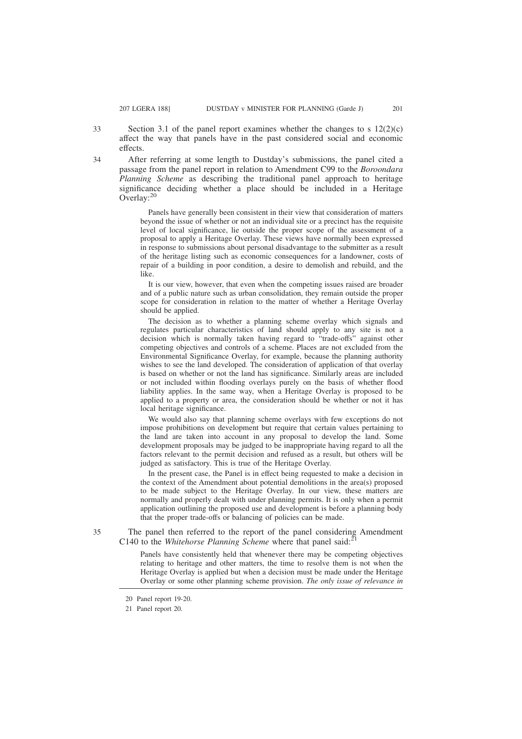Section 3.1 of the panel report examines whether the changes to s  $12(2)(c)$ affect the way that panels have in the past considered social and economic effects.

After referring at some length to Dustday's submissions, the panel cited a passage from the panel report in relation to Amendment C99 to the *Boroondara Planning Scheme* as describing the traditional panel approach to heritage significance deciding whether a place should be included in a Heritage Overlay:<sup>20</sup>

Panels have generally been consistent in their view that consideration of matters beyond the issue of whether or not an individual site or a precinct has the requisite level of local significance, lie outside the proper scope of the assessment of a proposal to apply a Heritage Overlay. These views have normally been expressed in response to submissions about personal disadvantage to the submitter as a result of the heritage listing such as economic consequences for a landowner, costs of repair of a building in poor condition, a desire to demolish and rebuild, and the like.

It is our view, however, that even when the competing issues raised are broader and of a public nature such as urban consolidation, they remain outside the proper scope for consideration in relation to the matter of whether a Heritage Overlay should be applied.

The decision as to whether a planning scheme overlay which signals and regulates particular characteristics of land should apply to any site is not a decision which is normally taken having regard to "trade-offs" against other competing objectives and controls of a scheme. Places are not excluded from the Environmental Significance Overlay, for example, because the planning authority wishes to see the land developed. The consideration of application of that overlay is based on whether or not the land has significance. Similarly areas are included or not included within flooding overlays purely on the basis of whether flood liability applies. In the same way, when a Heritage Overlay is proposed to be applied to a property or area, the consideration should be whether or not it has local heritage significance.

We would also say that planning scheme overlays with few exceptions do not impose prohibitions on development but require that certain values pertaining to the land are taken into account in any proposal to develop the land. Some development proposals may be judged to be inappropriate having regard to all the factors relevant to the permit decision and refused as a result, but others will be judged as satisfactory. This is true of the Heritage Overlay.

In the present case, the Panel is in effect being requested to make a decision in the context of the Amendment about potential demolitions in the area(s) proposed to be made subject to the Heritage Overlay. In our view, these matters are normally and properly dealt with under planning permits. It is only when a permit application outlining the proposed use and development is before a planning body that the proper trade-offs or balancing of policies can be made.

35

The panel then referred to the report of the panel considering Amendment C140 to the *Whitehorse Planning Scheme* where that panel said:

Panels have consistently held that whenever there may be competing objectives relating to heritage and other matters, the time to resolve them is not when the Heritage Overlay is applied but when a decision must be made under the Heritage Overlay or some other planning scheme provision. *The only issue of relevance in*

33

<sup>20</sup> Panel report 19-20.

<sup>21</sup> Panel report 20.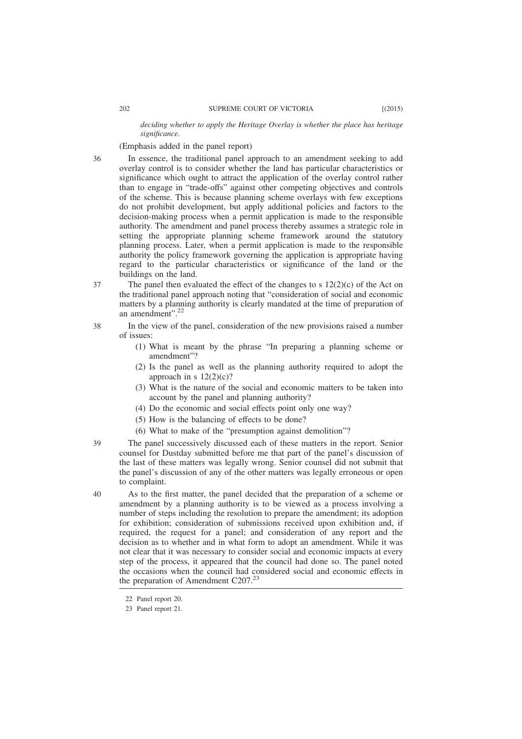*deciding whether to apply the Heritage Overlay is whether the place has heritage significance.*

(Emphasis added in the panel report)

- In essence, the traditional panel approach to an amendment seeking to add overlay control is to consider whether the land has particular characteristics or significance which ought to attract the application of the overlay control rather than to engage in "trade-offs" against other competing objectives and controls of the scheme. This is because planning scheme overlays with few exceptions do not prohibit development, but apply additional policies and factors to the decision-making process when a permit application is made to the responsible authority. The amendment and panel process thereby assumes a strategic role in setting the appropriate planning scheme framework around the statutory planning process. Later, when a permit application is made to the responsible authority the policy framework governing the application is appropriate having regard to the particular characteristics or significance of the land or the buildings on the land.
- The panel then evaluated the effect of the changes to s  $12(2)(c)$  of the Act on the traditional panel approach noting that "consideration of social and economic matters by a planning authority is clearly mandated at the time of preparation of an amendment".<sup>22</sup> 37
	- In the view of the panel, consideration of the new provisions raised a number of issues:
		- (1) What is meant by the phrase "In preparing a planning scheme or amendment"?
		- (2) Is the panel as well as the planning authority required to adopt the approach in s  $12(2)(c)$ ?
		- (3) What is the nature of the social and economic matters to be taken into account by the panel and planning authority?
		- (4) Do the economic and social effects point only one way?
		- (5) How is the balancing of effects to be done?
		- (6) What to make of the "presumption against demolition"?
	- The panel successively discussed each of these matters in the report. Senior counsel for Dustday submitted before me that part of the panel's discussion of the last of these matters was legally wrong. Senior counsel did not submit that the panel's discussion of any of the other matters was legally erroneous or open to complaint.
		- As to the first matter, the panel decided that the preparation of a scheme or amendment by a planning authority is to be viewed as a process involving a number of steps including the resolution to prepare the amendment; its adoption for exhibition; consideration of submissions received upon exhibition and, if required, the request for a panel; and consideration of any report and the decision as to whether and in what form to adopt an amendment. While it was not clear that it was necessary to consider social and economic impacts at every step of the process, it appeared that the council had done so. The panel noted the occasions when the council had considered social and economic effects in the preparation of Amendment C207.<sup>23</sup>

36

38

<sup>22</sup> Panel report 20.

<sup>23</sup> Panel report 21.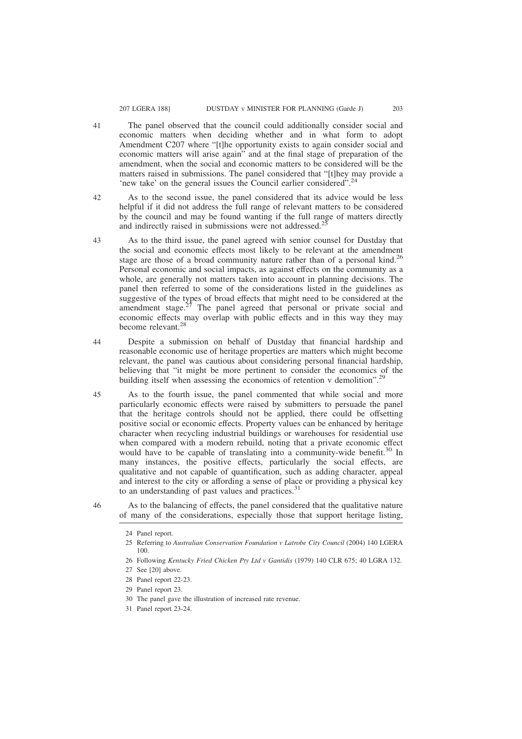- The panel observed that the council could additionally consider social and economic matters when deciding whether and in what form to adopt Amendment C207 where "[t]he opportunity exists to again consider social and economic matters will arise again" and at the final stage of preparation of the amendment, when the social and economic matters to be considered will be the matters raised in submissions. The panel considered that "[t]hey may provide a 'new take' on the general issues the Council earlier considered".<sup>2</sup>
- As to the second issue, the panel considered that its advice would be less helpful if it did not address the full range of relevant matters to be considered by the council and may be found wanting if the full range of matters directly and indirectly raised in submissions were not addressed.<sup>25</sup> 42
- As to the third issue, the panel agreed with senior counsel for Dustday that the social and economic effects most likely to be relevant at the amendment stage are those of a broad community nature rather than of a personal kind.<sup>26</sup> Personal economic and social impacts, as against effects on the community as a whole, are generally not matters taken into account in planning decisions. The panel then referred to some of the considerations listed in the guidelines as suggestive of the types of broad effects that might need to be considered at the amendment stage. $2<sup>7</sup>$  The panel agreed that personal or private social and economic effects may overlap with public effects and in this way they may become relevant.<sup>28</sup> 43
- Despite a submission on behalf of Dustday that financial hardship and reasonable economic use of heritage properties are matters which might become relevant, the panel was cautious about considering personal financial hardship, believing that "it might be more pertinent to consider the economics of the building itself when assessing the economics of retention v demolition". 44
- As to the fourth issue, the panel commented that while social and more particularly economic effects were raised by submitters to persuade the panel that the heritage controls should not be applied, there could be offsetting positive social or economic effects. Property values can be enhanced by heritage character when recycling industrial buildings or warehouses for residential use when compared with a modern rebuild, noting that a private economic effect would have to be capable of translating into a community-wide benefit.<sup>30</sup> In many instances, the positive effects, particularly the social effects, are qualitative and not capable of quantification, such as adding character, appeal and interest to the city or affording a sense of place or providing a physical key to an understanding of past values and practices. $31$ 45
- As to the balancing of effects, the panel considered that the qualitative nature of many of the considerations, especially those that support heritage listing, 46

- 25 Referring to *Australian Conservation Foundation v Latrobe City Council* (2004) 140 LGERA 100.
- 26 Following *Kentucky Fried Chicken Pty Ltd v Gantidis* (1979) 140 CLR 675; 40 LGRA 132.
- 27 See [20] above.
- 28 Panel report 22-23.
- 29 Panel report 23.
- 30 The panel gave the illustration of increased rate revenue.
- 31 Panel report 23-24.

<sup>24</sup> Panel report.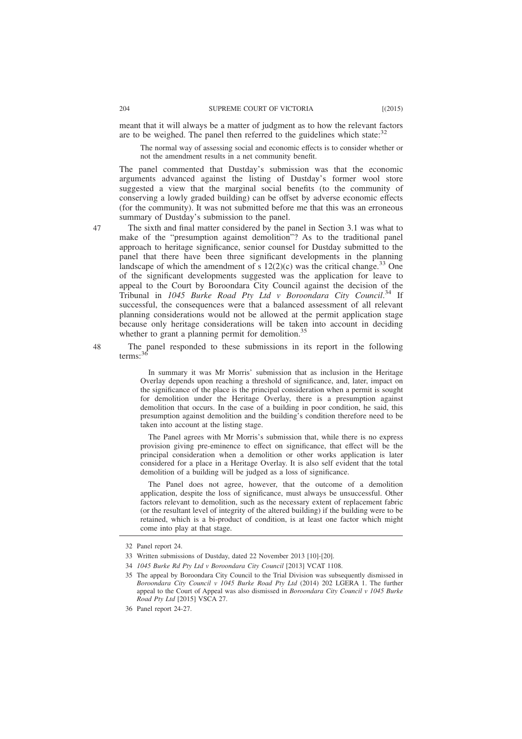meant that it will always be a matter of judgment as to how the relevant factors are to be weighed. The panel then referred to the guidelines which state: $32$ 

The normal way of assessing social and economic effects is to consider whether or not the amendment results in a net community benefit.

The panel commented that Dustday's submission was that the economic arguments advanced against the listing of Dustday's former wool store suggested a view that the marginal social benefits (to the community of conserving a lowly graded building) can be offset by adverse economic effects (for the community). It was not submitted before me that this was an erroneous summary of Dustday's submission to the panel.

The sixth and final matter considered by the panel in Section 3.1 was what to make of the "presumption against demolition"? As to the traditional panel approach to heritage significance, senior counsel for Dustday submitted to the panel that there have been three significant developments in the planning landscape of which the amendment of s  $12(2)(c)$  was the critical change.<sup>33</sup> One of the significant developments suggested was the application for leave to appeal to the Court by Boroondara City Council against the decision of the Tribunal in *1045 Burke Road Pty Ltd v Boroondara City Council*. <sup>34</sup> If successful, the consequences were that a balanced assessment of all relevant planning considerations would not be allowed at the permit application stage because only heritage considerations will be taken into account in deciding whether to grant a planning permit for demolition.<sup>35</sup>

The panel responded to these submissions in its report in the following terms: $3$ 

In summary it was Mr Morris' submission that as inclusion in the Heritage Overlay depends upon reaching a threshold of significance, and, later, impact on the significance of the place is the principal consideration when a permit is sought for demolition under the Heritage Overlay, there is a presumption against demolition that occurs. In the case of a building in poor condition, he said, this presumption against demolition and the building's condition therefore need to be taken into account at the listing stage.

The Panel agrees with Mr Morris's submission that, while there is no express provision giving pre-eminence to effect on significance, that effect will be the principal consideration when a demolition or other works application is later considered for a place in a Heritage Overlay. It is also self evident that the total demolition of a building will be judged as a loss of significance.

The Panel does not agree, however, that the outcome of a demolition application, despite the loss of significance, must always be unsuccessful. Other factors relevant to demolition, such as the necessary extent of replacement fabric (or the resultant level of integrity of the altered building) if the building were to be retained, which is a bi-product of condition, is at least one factor which might come into play at that stage.

<sup>32</sup> Panel report 24.

<sup>33</sup> Written submissions of Dustday, dated 22 November 2013 [10]-[20].

<sup>34</sup> *1045 Burke Rd Pty Ltd v Boroondara City Council* [2013] VCAT 1108.

<sup>35</sup> The appeal by Boroondara City Council to the Trial Division was subsequently dismissed in *Boroondara City Council v 1045 Burke Road Pty Ltd* (2014) 202 LGERA 1. The further appeal to the Court of Appeal was also dismissed in *Boroondara City Council v 1045 Burke Road Pty Ltd* [2015] VSCA 27.

<sup>36</sup> Panel report 24-27.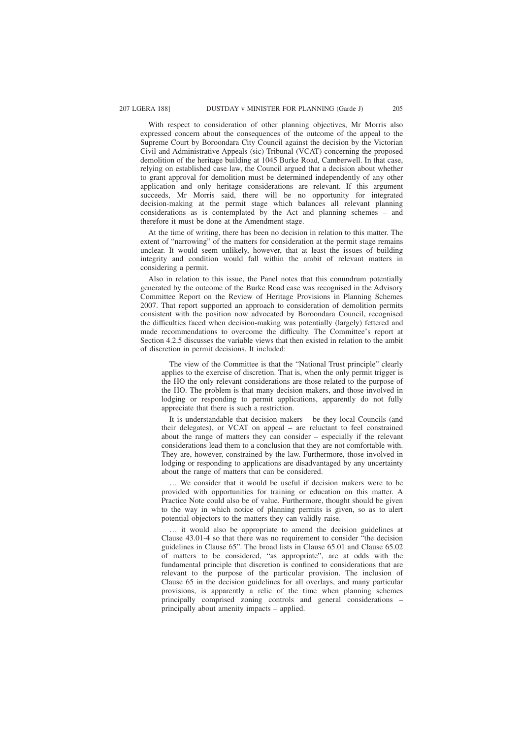With respect to consideration of other planning objectives, Mr Morris also expressed concern about the consequences of the outcome of the appeal to the Supreme Court by Boroondara City Council against the decision by the Victorian Civil and Administrative Appeals (sic) Tribunal (VCAT) concerning the proposed demolition of the heritage building at 1045 Burke Road, Camberwell. In that case, relying on established case law, the Council argued that a decision about whether to grant approval for demolition must be determined independently of any other application and only heritage considerations are relevant. If this argument succeeds, Mr Morris said, there will be no opportunity for integrated decision-making at the permit stage which balances all relevant planning considerations as is contemplated by the Act and planning schemes – and therefore it must be done at the Amendment stage.

At the time of writing, there has been no decision in relation to this matter. The extent of "narrowing" of the matters for consideration at the permit stage remains unclear. It would seem unlikely, however, that at least the issues of building integrity and condition would fall within the ambit of relevant matters in considering a permit.

Also in relation to this issue, the Panel notes that this conundrum potentially generated by the outcome of the Burke Road case was recognised in the Advisory Committee Report on the Review of Heritage Provisions in Planning Schemes 2007. That report supported an approach to consideration of demolition permits consistent with the position now advocated by Boroondara Council, recognised the difficulties faced when decision-making was potentially (largely) fettered and made recommendations to overcome the difficulty. The Committee's report at Section 4.2.5 discusses the variable views that then existed in relation to the ambit of discretion in permit decisions. It included:

The view of the Committee is that the "National Trust principle" clearly applies to the exercise of discretion. That is, when the only permit trigger is the HO the only relevant considerations are those related to the purpose of the HO. The problem is that many decision makers, and those involved in lodging or responding to permit applications, apparently do not fully appreciate that there is such a restriction.

It is understandable that decision makers – be they local Councils (and their delegates), or VCAT on appeal – are reluctant to feel constrained about the range of matters they can consider – especially if the relevant considerations lead them to a conclusion that they are not comfortable with. They are, however, constrained by the law. Furthermore, those involved in lodging or responding to applications are disadvantaged by any uncertainty about the range of matters that can be considered.

… We consider that it would be useful if decision makers were to be provided with opportunities for training or education on this matter. A Practice Note could also be of value. Furthermore, thought should be given to the way in which notice of planning permits is given, so as to alert potential objectors to the matters they can validly raise.

… it would also be appropriate to amend the decision guidelines at Clause 43.01-4 so that there was no requirement to consider "the decision guidelines in Clause 65". The broad lists in Clause 65.01 and Clause 65.02 of matters to be considered, "as appropriate", are at odds with the fundamental principle that discretion is confined to considerations that are relevant to the purpose of the particular provision. The inclusion of Clause 65 in the decision guidelines for all overlays, and many particular provisions, is apparently a relic of the time when planning schemes principally comprised zoning controls and general considerations – principally about amenity impacts – applied.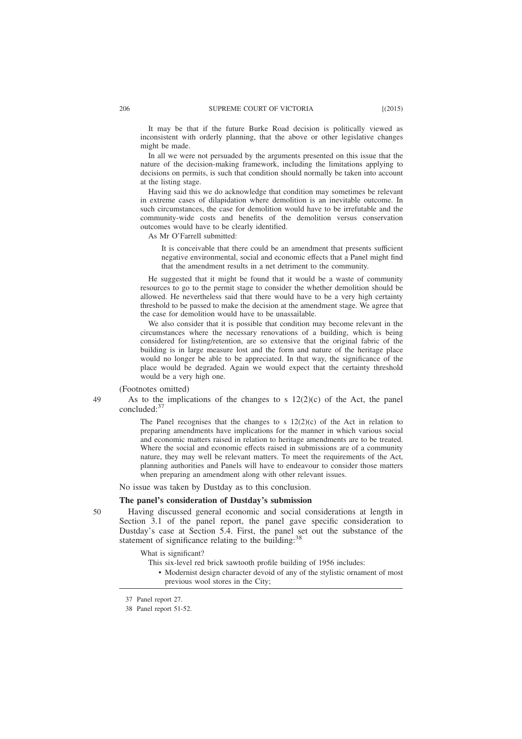It may be that if the future Burke Road decision is politically viewed as inconsistent with orderly planning, that the above or other legislative changes might be made.

In all we were not persuaded by the arguments presented on this issue that the nature of the decision-making framework, including the limitations applying to decisions on permits, is such that condition should normally be taken into account at the listing stage.

Having said this we do acknowledge that condition may sometimes be relevant in extreme cases of dilapidation where demolition is an inevitable outcome. In such circumstances, the case for demolition would have to be irrefutable and the community-wide costs and benefits of the demolition versus conservation outcomes would have to be clearly identified.

As Mr O'Farrell submitted:

It is conceivable that there could be an amendment that presents sufficient negative environmental, social and economic effects that a Panel might find that the amendment results in a net detriment to the community.

He suggested that it might be found that it would be a waste of community resources to go to the permit stage to consider the whether demolition should be allowed. He nevertheless said that there would have to be a very high certainty threshold to be passed to make the decision at the amendment stage. We agree that the case for demolition would have to be unassailable.

We also consider that it is possible that condition may become relevant in the circumstances where the necessary renovations of a building, which is being considered for listing/retention, are so extensive that the original fabric of the building is in large measure lost and the form and nature of the heritage place would no longer be able to be appreciated. In that way, the significance of the place would be degraded. Again we would expect that the certainty threshold would be a very high one.

(Footnotes omitted)

49

50

As to the implications of the changes to s  $12(2)(c)$  of the Act, the panel concluded:<sup>37</sup>

The Panel recognises that the changes to s  $12(2)(c)$  of the Act in relation to preparing amendments have implications for the manner in which various social and economic matters raised in relation to heritage amendments are to be treated. Where the social and economic effects raised in submissions are of a community nature, they may well be relevant matters. To meet the requirements of the Act, planning authorities and Panels will have to endeavour to consider those matters when preparing an amendment along with other relevant issues.

No issue was taken by Dustday as to this conclusion.

## **The panel's consideration of Dustday's submission**

Having discussed general economic and social considerations at length in Section 3.1 of the panel report, the panel gave specific consideration to Dustday's case at Section 5.4. First, the panel set out the substance of the statement of significance relating to the building:<sup>38</sup>

What is significant?

- This six-level red brick sawtooth profile building of 1956 includes:
	- Modernist design character devoid of any of the stylistic ornament of most previous wool stores in the City;

<sup>37</sup> Panel report 27.

<sup>38</sup> Panel report 51-52.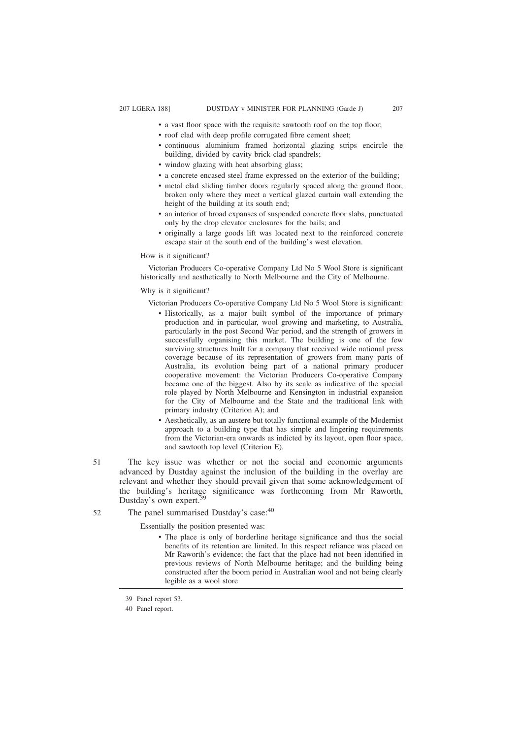- a vast floor space with the requisite sawtooth roof on the top floor;
- roof clad with deep profile corrugated fibre cement sheet;
- continuous aluminium framed horizontal glazing strips encircle the building, divided by cavity brick clad spandrels;
- window glazing with heat absorbing glass;
- a concrete encased steel frame expressed on the exterior of the building;
- metal clad sliding timber doors regularly spaced along the ground floor, broken only where they meet a vertical glazed curtain wall extending the height of the building at its south end;
- an interior of broad expanses of suspended concrete floor slabs, punctuated only by the drop elevator enclosures for the bails; and
- originally a large goods lift was located next to the reinforced concrete escape stair at the south end of the building's west elevation.

#### How is it significant?

Victorian Producers Co-operative Company Ltd No 5 Wool Store is significant historically and aesthetically to North Melbourne and the City of Melbourne.

## Why is it significant?

Victorian Producers Co-operative Company Ltd No 5 Wool Store is significant:

- Historically, as a major built symbol of the importance of primary production and in particular, wool growing and marketing, to Australia, particularly in the post Second War period, and the strength of growers in successfully organising this market. The building is one of the few surviving structures built for a company that received wide national press coverage because of its representation of growers from many parts of Australia, its evolution being part of a national primary producer cooperative movement: the Victorian Producers Co-operative Company became one of the biggest. Also by its scale as indicative of the special role played by North Melbourne and Kensington in industrial expansion for the City of Melbourne and the State and the traditional link with primary industry (Criterion A); and
- Aesthetically, as an austere but totally functional example of the Modernist approach to a building type that has simple and lingering requirements from the Victorian-era onwards as indicted by its layout, open floor space, and sawtooth top level (Criterion E).
- The key issue was whether or not the social and economic arguments advanced by Dustday against the inclusion of the building in the overlay are relevant and whether they should prevail given that some acknowledgement of the building's heritage significance was forthcoming from Mr Raworth, Dustday's own expert.<sup>3</sup> 51
- The panel summarised Dustday's case:<sup>40</sup> 52

Essentially the position presented was:

• The place is only of borderline heritage significance and thus the social benefits of its retention are limited. In this respect reliance was placed on Mr Raworth's evidence; the fact that the place had not been identified in previous reviews of North Melbourne heritage; and the building being constructed after the boom period in Australian wool and not being clearly legible as a wool store

<sup>39</sup> Panel report 53.

<sup>40</sup> Panel report.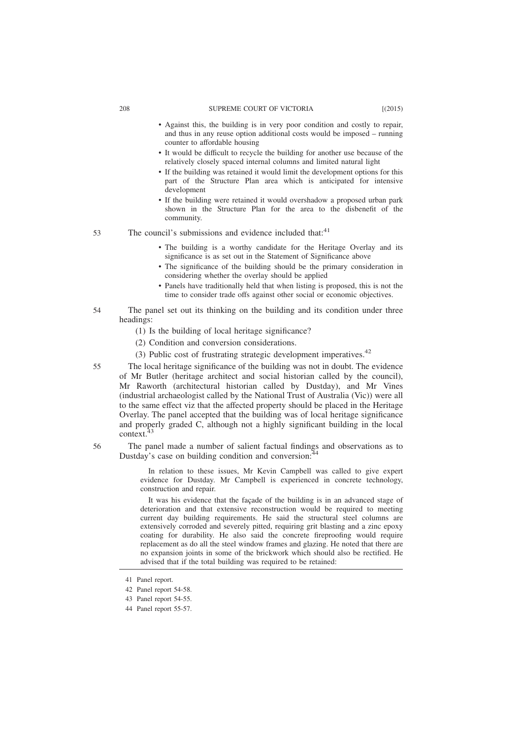#### 208 SUPREME COURT OF VICTORIA [(2015)

- Against this, the building is in very poor condition and costly to repair, and thus in any reuse option additional costs would be imposed – running counter to affordable housing
- It would be difficult to recycle the building for another use because of the relatively closely spaced internal columns and limited natural light
- If the building was retained it would limit the development options for this part of the Structure Plan area which is anticipated for intensive development
- If the building were retained it would overshadow a proposed urban park shown in the Structure Plan for the area to the disbenefit of the community.

The council's submissions and evidence included that:<sup>41</sup> 53

- The building is a worthy candidate for the Heritage Overlay and its significance is as set out in the Statement of Significance above
- The significance of the building should be the primary consideration in considering whether the overlay should be applied
- Panels have traditionally held that when listing is proposed, this is not the time to consider trade offs against other social or economic objectives.
- The panel set out its thinking on the building and its condition under three headings: 54
	- (1) Is the building of local heritage significance?
	- (2) Condition and conversion considerations.
	- (3) Public cost of frustrating strategic development imperatives. $42$
- The local heritage significance of the building was not in doubt. The evidence of Mr Butler (heritage architect and social historian called by the council), Mr Raworth (architectural historian called by Dustday), and Mr Vines (industrial archaeologist called by the National Trust of Australia (Vic)) were all to the same effect viz that the affected property should be placed in the Heritage Overlay. The panel accepted that the building was of local heritage significance and properly graded C, although not a highly significant building in the local context.<sup>4</sup> 55

56

The panel made a number of salient factual findings and observations as to Dustday's case on building condition and conversion: $44$ 

In relation to these issues, Mr Kevin Campbell was called to give expert evidence for Dustday. Mr Campbell is experienced in concrete technology, construction and repair.

It was his evidence that the façade of the building is in an advanced stage of deterioration and that extensive reconstruction would be required to meeting current day building requirements. He said the structural steel columns are extensively corroded and severely pitted, requiring grit blasting and a zinc epoxy coating for durability. He also said the concrete fireproofing would require replacement as do all the steel window frames and glazing. He noted that there are no expansion joints in some of the brickwork which should also be rectified. He advised that if the total building was required to be retained:

<sup>41</sup> Panel report.

<sup>42</sup> Panel report 54-58.

<sup>43</sup> Panel report 54-55.

<sup>44</sup> Panel report 55-57.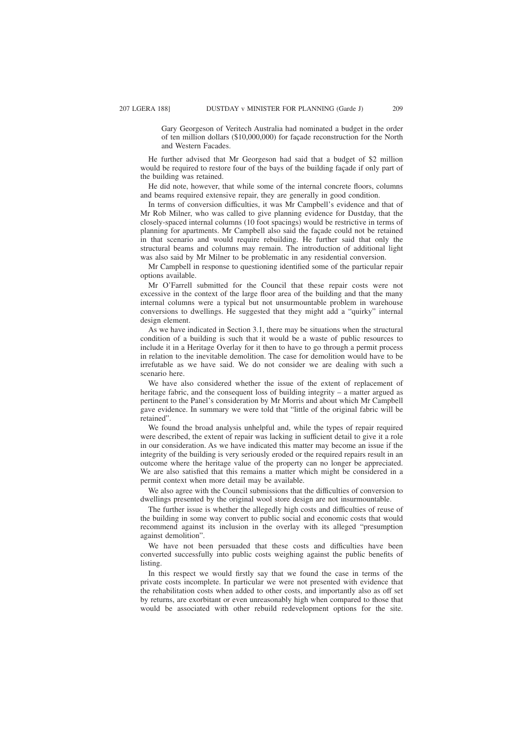Gary Georgeson of Veritech Australia had nominated a budget in the order of ten million dollars (\$10,000,000) for façade reconstruction for the North and Western Facades.

He further advised that Mr Georgeson had said that a budget of \$2 million would be required to restore four of the bays of the building façade if only part of the building was retained.

He did note, however, that while some of the internal concrete floors, columns and beams required extensive repair, they are generally in good condition.

In terms of conversion difficulties, it was Mr Campbell's evidence and that of Mr Rob Milner, who was called to give planning evidence for Dustday, that the closely-spaced internal columns (10 foot spacings) would be restrictive in terms of planning for apartments. Mr Campbell also said the façade could not be retained in that scenario and would require rebuilding. He further said that only the structural beams and columns may remain. The introduction of additional light was also said by Mr Milner to be problematic in any residential conversion.

Mr Campbell in response to questioning identified some of the particular repair options available.

Mr O'Farrell submitted for the Council that these repair costs were not excessive in the context of the large floor area of the building and that the many internal columns were a typical but not unsurmountable problem in warehouse conversions to dwellings. He suggested that they might add a "quirky" internal design element.

As we have indicated in Section 3.1, there may be situations when the structural condition of a building is such that it would be a waste of public resources to include it in a Heritage Overlay for it then to have to go through a permit process in relation to the inevitable demolition. The case for demolition would have to be irrefutable as we have said. We do not consider we are dealing with such a scenario here.

We have also considered whether the issue of the extent of replacement of heritage fabric, and the consequent loss of building integrity – a matter argued as pertinent to the Panel's consideration by Mr Morris and about which Mr Campbell gave evidence. In summary we were told that "little of the original fabric will be retained".

We found the broad analysis unhelpful and, while the types of repair required were described, the extent of repair was lacking in sufficient detail to give it a role in our consideration. As we have indicated this matter may become an issue if the integrity of the building is very seriously eroded or the required repairs result in an outcome where the heritage value of the property can no longer be appreciated. We are also satisfied that this remains a matter which might be considered in a permit context when more detail may be available.

We also agree with the Council submissions that the difficulties of conversion to dwellings presented by the original wool store design are not insurmountable.

The further issue is whether the allegedly high costs and difficulties of reuse of the building in some way convert to public social and economic costs that would recommend against its inclusion in the overlay with its alleged "presumption against demolition".

We have not been persuaded that these costs and difficulties have been converted successfully into public costs weighing against the public benefits of listing.

In this respect we would firstly say that we found the case in terms of the private costs incomplete. In particular we were not presented with evidence that the rehabilitation costs when added to other costs, and importantly also as off set by returns, are exorbitant or even unreasonably high when compared to those that would be associated with other rebuild redevelopment options for the site.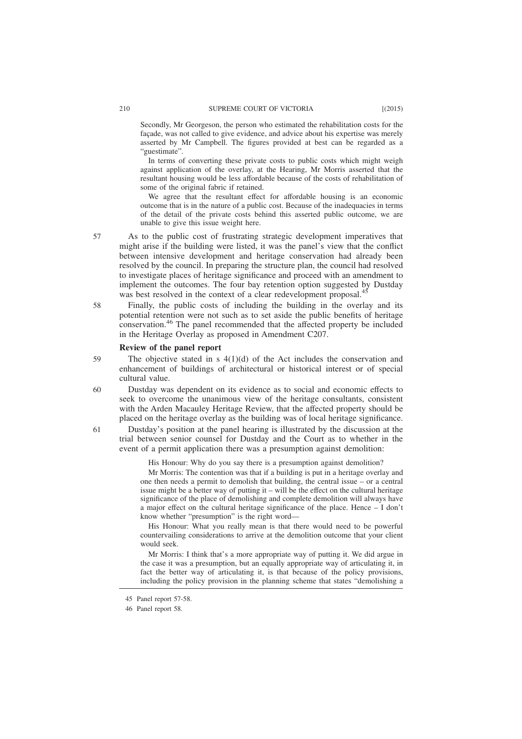Secondly, Mr Georgeson, the person who estimated the rehabilitation costs for the façade, was not called to give evidence, and advice about his expertise was merely asserted by Mr Campbell. The figures provided at best can be regarded as a "guestimate".

In terms of converting these private costs to public costs which might weigh against application of the overlay, at the Hearing, Mr Morris asserted that the resultant housing would be less affordable because of the costs of rehabilitation of some of the original fabric if retained.

We agree that the resultant effect for affordable housing is an economic outcome that is in the nature of a public cost. Because of the inadequacies in terms of the detail of the private costs behind this asserted public outcome, we are unable to give this issue weight here.

57

61

As to the public cost of frustrating strategic development imperatives that might arise if the building were listed, it was the panel's view that the conflict between intensive development and heritage conservation had already been resolved by the council. In preparing the structure plan, the council had resolved to investigate places of heritage significance and proceed with an amendment to implement the outcomes. The four bay retention option suggested by Dustday was best resolved in the context of a clear redevelopment proposal.<sup>45</sup>

Finally, the public costs of including the building in the overlay and its potential retention were not such as to set aside the public benefits of heritage conservation.<sup>46</sup> The panel recommended that the affected property be included in the Heritage Overlay as proposed in Amendment C207. 58

#### **Review of the panel report**

The objective stated in s  $4(1)(d)$  of the Act includes the conservation and enhancement of buildings of architectural or historical interest or of special cultural value. 59

Dustday was dependent on its evidence as to social and economic effects to seek to overcome the unanimous view of the heritage consultants, consistent with the Arden Macauley Heritage Review, that the affected property should be placed on the heritage overlay as the building was of local heritage significance. 60

Dustday's position at the panel hearing is illustrated by the discussion at the trial between senior counsel for Dustday and the Court as to whether in the event of a permit application there was a presumption against demolition:

His Honour: Why do you say there is a presumption against demolition?

Mr Morris: The contention was that if a building is put in a heritage overlay and one then needs a permit to demolish that building, the central issue – or a central issue might be a better way of putting it – will be the effect on the cultural heritage significance of the place of demolishing and complete demolition will always have a major effect on the cultural heritage significance of the place. Hence – I don't know whether "presumption" is the right word—

His Honour: What you really mean is that there would need to be powerful countervailing considerations to arrive at the demolition outcome that your client would seek.

Mr Morris: I think that's a more appropriate way of putting it. We did argue in the case it was a presumption, but an equally appropriate way of articulating it, in fact the better way of articulating it, is that because of the policy provisions, including the policy provision in the planning scheme that states "demolishing a

<sup>45</sup> Panel report 57-58.

<sup>46</sup> Panel report 58.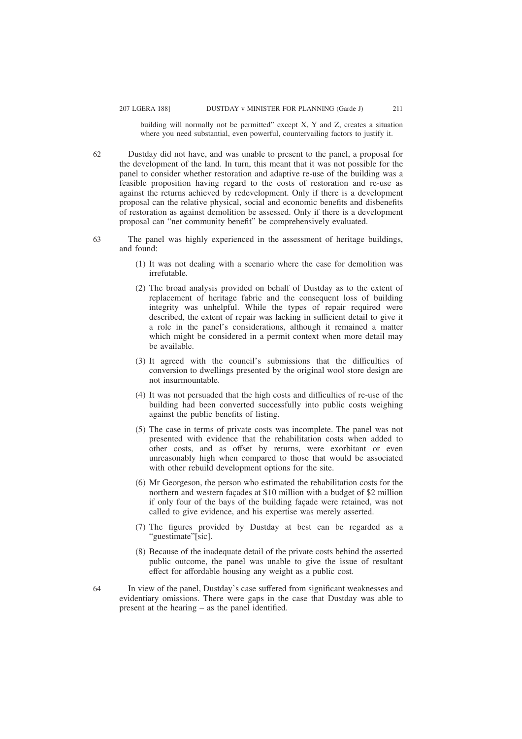building will normally not be permitted" except X, Y and Z, creates a situation where you need substantial, even powerful, countervailing factors to justify it.

Dustday did not have, and was unable to present to the panel, a proposal for the development of the land. In turn, this meant that it was not possible for the panel to consider whether restoration and adaptive re-use of the building was a feasible proposition having regard to the costs of restoration and re-use as against the returns achieved by redevelopment. Only if there is a development proposal can the relative physical, social and economic benefits and disbenefits of restoration as against demolition be assessed. Only if there is a development proposal can "net community benefit" be comprehensively evaluated.

- The panel was highly experienced in the assessment of heritage buildings, and found:
	- (1) It was not dealing with a scenario where the case for demolition was irrefutable.
	- (2) The broad analysis provided on behalf of Dustday as to the extent of replacement of heritage fabric and the consequent loss of building integrity was unhelpful. While the types of repair required were described, the extent of repair was lacking in sufficient detail to give it a role in the panel's considerations, although it remained a matter which might be considered in a permit context when more detail may be available.
	- (3) It agreed with the council's submissions that the difficulties of conversion to dwellings presented by the original wool store design are not insurmountable.
	- (4) It was not persuaded that the high costs and difficulties of re-use of the building had been converted successfully into public costs weighing against the public benefits of listing.
	- (5) The case in terms of private costs was incomplete. The panel was not presented with evidence that the rehabilitation costs when added to other costs, and as offset by returns, were exorbitant or even unreasonably high when compared to those that would be associated with other rebuild development options for the site.
	- (6) Mr Georgeson, the person who estimated the rehabilitation costs for the northern and western façades at \$10 million with a budget of \$2 million if only four of the bays of the building façade were retained, was not called to give evidence, and his expertise was merely asserted.
	- (7) The figures provided by Dustday at best can be regarded as a "guestimate"[sic].
	- (8) Because of the inadequate detail of the private costs behind the asserted public outcome, the panel was unable to give the issue of resultant effect for affordable housing any weight as a public cost.
- In view of the panel, Dustday's case suffered from significant weaknesses and evidentiary omissions. There were gaps in the case that Dustday was able to present at the hearing – as the panel identified. 64

62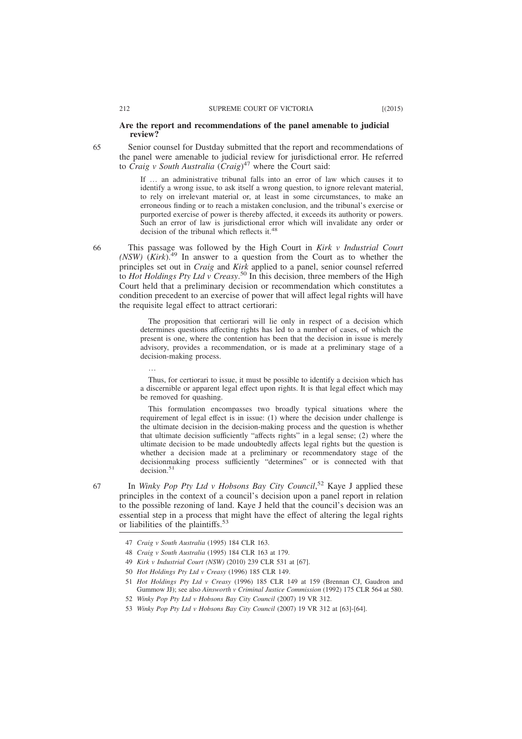### **Are the report and recommendations of the panel amenable to judicial review?**

Senior counsel for Dustday submitted that the report and recommendations of the panel were amenable to judicial review for jurisdictional error. He referred to *Craig v South Australia* (*Craig*) <sup>47</sup> where the Court said:

If … an administrative tribunal falls into an error of law which causes it to identify a wrong issue, to ask itself a wrong question, to ignore relevant material, to rely on irrelevant material or, at least in some circumstances, to make an erroneous finding or to reach a mistaken conclusion, and the tribunal's exercise or purported exercise of power is thereby affected, it exceeds its authority or powers. Such an error of law is jurisdictional error which will invalidate any order or decision of the tribunal which reflects it.<sup>4</sup>

This passage was followed by the High Court in *Kirk v Industrial Court (NSW)*  $(Kirk)$ <sup>49</sup> In answer to a question from the Court as to whether the principles set out in *Craig* and *Kirk* applied to a panel, senior counsel referred to *Hot Holdings Pty Ltd v Creasy*. <sup>50</sup> In this decision, three members of the High Court held that a preliminary decision or recommendation which constitutes a condition precedent to an exercise of power that will affect legal rights will have the requisite legal effect to attract certiorari:

The proposition that certiorari will lie only in respect of a decision which determines questions affecting rights has led to a number of cases, of which the present is one, where the contention has been that the decision in issue is merely advisory, provides a recommendation, or is made at a preliminary stage of a decision-making process.

Thus, for certiorari to issue, it must be possible to identify a decision which has a discernible or apparent legal effect upon rights. It is that legal effect which may be removed for quashing.

This formulation encompasses two broadly typical situations where the requirement of legal effect is in issue: (1) where the decision under challenge is the ultimate decision in the decision-making process and the question is whether that ultimate decision sufficiently "affects rights" in a legal sense; (2) where the ultimate decision to be made undoubtedly affects legal rights but the question is whether a decision made at a preliminary or recommendatory stage of the decisionmaking process sufficiently "determines" or is connected with that decision<sup>51</sup>

67

…

In *Winky Pop Pty Ltd v Hobsons Bay City Council*,<sup>52</sup> Kaye J applied these principles in the context of a council's decision upon a panel report in relation to the possible rezoning of land. Kaye J held that the council's decision was an essential step in a process that might have the effect of altering the legal rights or liabilities of the plaintiffs.<sup>53</sup>

65

<sup>47</sup> *Craig v South Australia* (1995) 184 CLR 163.

<sup>48</sup> *Craig v South Australia* (1995) 184 CLR 163 at 179.

<sup>49</sup> *Kirk v Industrial Court (NSW)* (2010) 239 CLR 531 at [67].

<sup>50</sup> *Hot Holdings Pty Ltd v Creasy* (1996) 185 CLR 149.

<sup>51</sup> *Hot Holdings Pty Ltd v Creasy* (1996) 185 CLR 149 at 159 (Brennan CJ, Gaudron and Gummow JJ); see also *Ainsworth v Criminal Justice Commission* (1992) 175 CLR 564 at 580.

<sup>52</sup> *Winky Pop Pty Ltd v Hobsons Bay City Council* (2007) 19 VR 312.

<sup>53</sup> *Winky Pop Pty Ltd v Hobsons Bay City Council* (2007) 19 VR 312 at [63]-[64].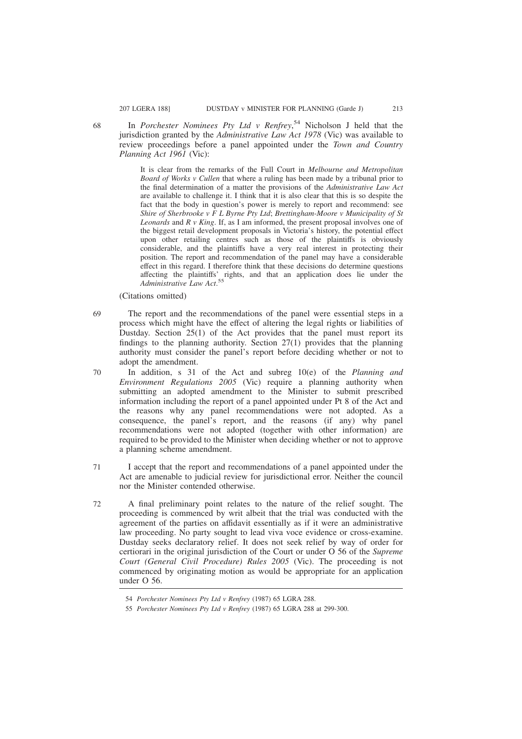In *Porchester Nominees Pty Ltd v Renfrey*, <sup>54</sup> Nicholson J held that the jurisdiction granted by the *Administrative Law Act 1978* (Vic) was available to review proceedings before a panel appointed under the *Town and Country Planning Act 1961* (Vic):

It is clear from the remarks of the Full Court in *Melbourne and Metropolitan Board of Works v Cullen* that where a ruling has been made by a tribunal prior to the final determination of a matter the provisions of the *Administrative Law Act* are available to challenge it. I think that it is also clear that this is so despite the fact that the body in question's power is merely to report and recommend: see *Shire of Sherbrooke v F L Byrne Pty Ltd*; *Brettingham-Moore v Municipality of St Leonards* and *R v King*. If, as I am informed, the present proposal involves one of the biggest retail development proposals in Victoria's history, the potential effect upon other retailing centres such as those of the plaintiffs is obviously considerable, and the plaintiffs have a very real interest in protecting their position. The report and recommendation of the panel may have a considerable effect in this regard. I therefore think that these decisions do determine questions affecting the plaintiffs' rights, and that an application does lie under the *Administrative Law Act*. 55

(Citations omitted)

- The report and the recommendations of the panel were essential steps in a process which might have the effect of altering the legal rights or liabilities of Dustday. Section 25(1) of the Act provides that the panel must report its findings to the planning authority. Section 27(1) provides that the planning authority must consider the panel's report before deciding whether or not to adopt the amendment. 69
- In addition, s 31 of the Act and subreg 10(e) of the *Planning and Environment Regulations 2005* (Vic) require a planning authority when submitting an adopted amendment to the Minister to submit prescribed information including the report of a panel appointed under Pt 8 of the Act and the reasons why any panel recommendations were not adopted. As a consequence, the panel's report, and the reasons (if any) why panel recommendations were not adopted (together with other information) are required to be provided to the Minister when deciding whether or not to approve a planning scheme amendment. 70
- I accept that the report and recommendations of a panel appointed under the Act are amenable to judicial review for jurisdictional error. Neither the council nor the Minister contended otherwise. 71
- A final preliminary point relates to the nature of the relief sought. The proceeding is commenced by writ albeit that the trial was conducted with the agreement of the parties on affidavit essentially as if it were an administrative law proceeding. No party sought to lead viva voce evidence or cross-examine. Dustday seeks declaratory relief. It does not seek relief by way of order for certiorari in the original jurisdiction of the Court or under O 56 of the *Supreme Court (General Civil Procedure) Rules 2005* (Vic). The proceeding is not commenced by originating motion as would be appropriate for an application under O 56. 72

<sup>54</sup> *Porchester Nominees Pty Ltd v Renfrey* (1987) 65 LGRA 288.

<sup>55</sup> *Porchester Nominees Pty Ltd v Renfrey* (1987) 65 LGRA 288 at 299-300.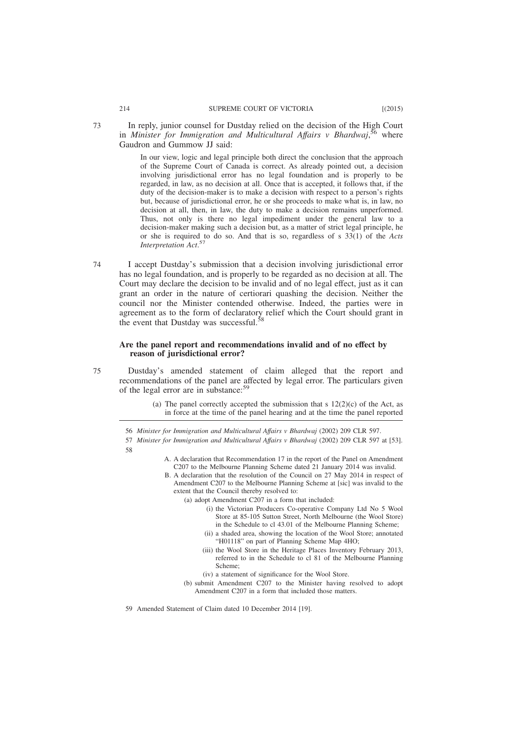In reply, junior counsel for Dustday relied on the decision of the High Court in *Minister for Immigration and Multicultural Affairs v Bhardwaj*, <sup>56</sup> where Gaudron and Gummow JJ said:

> In our view, logic and legal principle both direct the conclusion that the approach of the Supreme Court of Canada is correct. As already pointed out, a decision involving jurisdictional error has no legal foundation and is properly to be regarded, in law, as no decision at all. Once that is accepted, it follows that, if the duty of the decision-maker is to make a decision with respect to a person's rights but, because of jurisdictional error, he or she proceeds to make what is, in law, no decision at all, then, in law, the duty to make a decision remains unperformed. Thus, not only is there no legal impediment under the general law to a decision-maker making such a decision but, as a matter of strict legal principle, he or she is required to do so. And that is so, regardless of s 33(1) of the *Acts Interpretation Act*. 57

I accept Dustday's submission that a decision involving jurisdictional error has no legal foundation, and is properly to be regarded as no decision at all. The Court may declare the decision to be invalid and of no legal effect, just as it can grant an order in the nature of certiorari quashing the decision. Neither the council nor the Minister contended otherwise. Indeed, the parties were in agreement as to the form of declaratory relief which the Court should grant in the event that Dustday was successful.<sup>58</sup> 74

## **Are the panel report and recommendations invalid and of no effect by reason of jurisdictional error?**

75

Dustday's amended statement of claim alleged that the report and recommendations of the panel are affected by legal error. The particulars given of the legal error are in substance:<sup>59</sup>

- (a) The panel correctly accepted the submission that s  $12(2)(c)$  of the Act, as in force at the time of the panel hearing and at the time the panel reported
- 56 *Minister for Immigration and Multicultural Affairs v Bhardwaj* (2002) 209 CLR 597.
- 57 *Minister for Immigration and Multicultural Affairs v Bhardwaj* (2002) 209 CLR 597 at [53]. 58
	- A. A declaration that Recommendation 17 in the report of the Panel on Amendment C207 to the Melbourne Planning Scheme dated 21 January 2014 was invalid.
	- B. A declaration that the resolution of the Council on 27 May 2014 in respect of Amendment C207 to the Melbourne Planning Scheme at [sic] was invalid to the extent that the Council thereby resolved to:
		- (a) adopt Amendment C207 in a form that included:
			- (i) the Victorian Producers Co-operative Company Ltd No 5 Wool Store at 85-105 Sutton Street, North Melbourne (the Wool Store) in the Schedule to cl 43.01 of the Melbourne Planning Scheme;
			- (ii) a shaded area, showing the location of the Wool Store; annotated "H01118" on part of Planning Scheme Map 4HO;
			- (iii) the Wool Store in the Heritage Places Inventory February 2013, referred to in the Schedule to cl 81 of the Melbourne Planning Scheme;
			- (iv) a statement of significance for the Wool Store.
		- (b) submit Amendment C207 to the Minister having resolved to adopt Amendment C207 in a form that included those matters.

59 Amended Statement of Claim dated 10 December 2014 [19].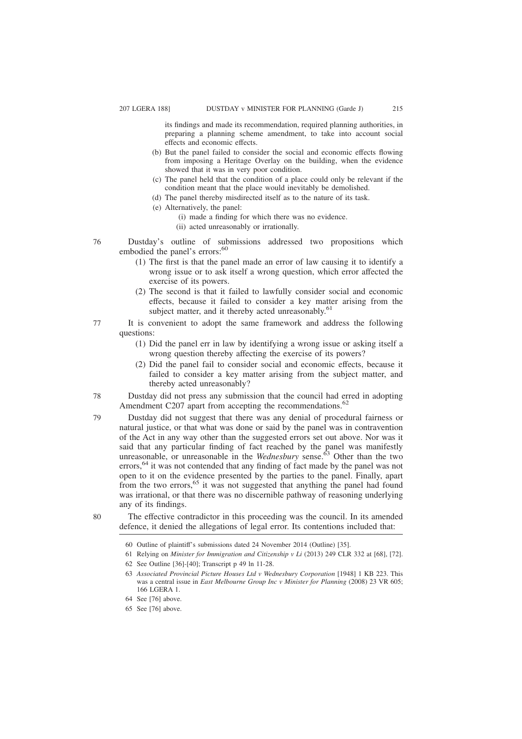its findings and made its recommendation, required planning authorities, in preparing a planning scheme amendment, to take into account social effects and economic effects.

- (b) But the panel failed to consider the social and economic effects flowing from imposing a Heritage Overlay on the building, when the evidence showed that it was in very poor condition.
- (c) The panel held that the condition of a place could only be relevant if the condition meant that the place would inevitably be demolished.
- (d) The panel thereby misdirected itself as to the nature of its task.
- (e) Alternatively, the panel:
	- (i) made a finding for which there was no evidence.
	- (ii) acted unreasonably or irrationally.
- Dustday's outline of submissions addressed two propositions which embodied the panel's errors:<sup>60</sup> 76
	- (1) The first is that the panel made an error of law causing it to identify a wrong issue or to ask itself a wrong question, which error affected the exercise of its powers.
	- (2) The second is that it failed to lawfully consider social and economic effects, because it failed to consider a key matter arising from the subject matter, and it thereby acted unreasonably.<sup>61</sup>
- It is convenient to adopt the same framework and address the following questions: 77
	- (1) Did the panel err in law by identifying a wrong issue or asking itself a wrong question thereby affecting the exercise of its powers?
	- (2) Did the panel fail to consider social and economic effects, because it failed to consider a key matter arising from the subject matter, and thereby acted unreasonably?
- Dustday did not press any submission that the council had erred in adopting Amendment C207 apart from accepting the recommendations.<sup>62</sup> 78
- Dustday did not suggest that there was any denial of procedural fairness or natural justice, or that what was done or said by the panel was in contravention of the Act in any way other than the suggested errors set out above. Nor was it said that any particular finding of fact reached by the panel was manifestly unreasonable, or unreasonable in the *Wednesbury* sense.<sup>63</sup> Other than the two errors,<sup>64</sup> it was not contended that any finding of fact made by the panel was not open to it on the evidence presented by the parties to the panel. Finally, apart from the two errors,<sup>65</sup> it was not suggested that anything the panel had found was irrational, or that there was no discernible pathway of reasoning underlying any of its findings. 79
- 80

The effective contradictor in this proceeding was the council. In its amended defence, it denied the allegations of legal error. Its contentions included that:

- 61 Relying on *Minister for Immigration and Citizenship v Li* (2013) 249 CLR 332 at [68], [72].
- 62 See Outline [36]-[40]; Transcript p 49 ln 11-28.
- 63 *Associated Provincial Picture Houses Ltd v Wednesbury Corporation* [1948] 1 KB 223. This was a central issue in *East Melbourne Group Inc v Minister for Planning* (2008) 23 VR 605; 166 LGERA 1.
- 64 See [76] above.
- 65 See [76] above.

<sup>60</sup> Outline of plaintiff's submissions dated 24 November 2014 (Outline) [35].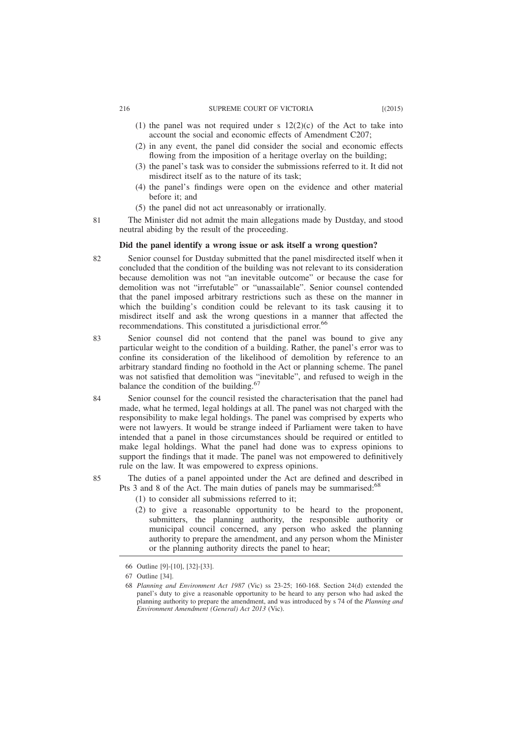#### 216 SUPREME COURT OF VICTORIA [(2015)

- (1) the panel was not required under s  $12(2)(c)$  of the Act to take into account the social and economic effects of Amendment C207;
- (2) in any event, the panel did consider the social and economic effects flowing from the imposition of a heritage overlay on the building;
- (3) the panel's task was to consider the submissions referred to it. It did not misdirect itself as to the nature of its task;
- (4) the panel's findings were open on the evidence and other material before it; and
- (5) the panel did not act unreasonably or irrationally.
- The Minister did not admit the main allegations made by Dustday, and stood neutral abiding by the result of the proceeding. 81

# **Did the panel identify a wrong issue or ask itself a wrong question?**

- Senior counsel for Dustday submitted that the panel misdirected itself when it concluded that the condition of the building was not relevant to its consideration because demolition was not "an inevitable outcome" or because the case for demolition was not "irrefutable" or "unassailable". Senior counsel contended that the panel imposed arbitrary restrictions such as these on the manner in which the building's condition could be relevant to its task causing it to misdirect itself and ask the wrong questions in a manner that affected the recommendations. This constituted a jurisdictional error.<sup>66</sup> 82
- Senior counsel did not contend that the panel was bound to give any particular weight to the condition of a building. Rather, the panel's error was to confine its consideration of the likelihood of demolition by reference to an arbitrary standard finding no foothold in the Act or planning scheme. The panel was not satisfied that demolition was "inevitable", and refused to weigh in the balance the condition of the building.<sup>67</sup> 83
- Senior counsel for the council resisted the characterisation that the panel had made, what he termed, legal holdings at all. The panel was not charged with the responsibility to make legal holdings. The panel was comprised by experts who were not lawyers. It would be strange indeed if Parliament were taken to have intended that a panel in those circumstances should be required or entitled to make legal holdings. What the panel had done was to express opinions to support the findings that it made. The panel was not empowered to definitively rule on the law. It was empowered to express opinions. 84

The duties of a panel appointed under the Act are defined and described in Pts 3 and 8 of the Act. The main duties of panels may be summarised:<sup>68</sup>

- (1) to consider all submissions referred to it;
- (2) to give a reasonable opportunity to be heard to the proponent, submitters, the planning authority, the responsible authority or municipal council concerned, any person who asked the planning authority to prepare the amendment, and any person whom the Minister or the planning authority directs the panel to hear;

<sup>66</sup> Outline [9]-[10], [32]-[33].

<sup>67</sup> Outline [34].

<sup>68</sup> *Planning and Environment Act 1987* (Vic) ss 23-25; 160-168. Section 24(d) extended the panel's duty to give a reasonable opportunity to be heard to any person who had asked the planning authority to prepare the amendment, and was introduced by s 74 of the *Planning and Environment Amendment (General) Act 2013* (Vic).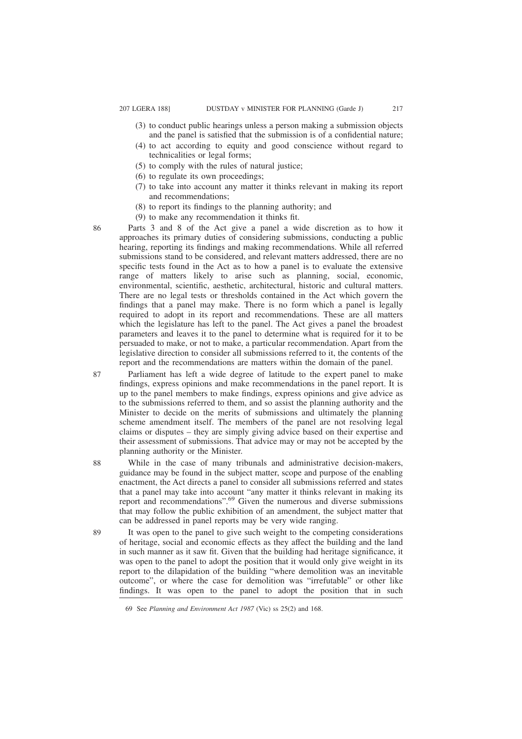- (3) to conduct public hearings unless a person making a submission objects and the panel is satisfied that the submission is of a confidential nature;
- (4) to act according to equity and good conscience without regard to technicalities or legal forms;
- (5) to comply with the rules of natural justice;
- (6) to regulate its own proceedings;
- (7) to take into account any matter it thinks relevant in making its report and recommendations;
- (8) to report its findings to the planning authority; and
- (9) to make any recommendation it thinks fit.

Parts 3 and 8 of the Act give a panel a wide discretion as to how it approaches its primary duties of considering submissions, conducting a public hearing, reporting its findings and making recommendations. While all referred submissions stand to be considered, and relevant matters addressed, there are no specific tests found in the Act as to how a panel is to evaluate the extensive range of matters likely to arise such as planning, social, economic, environmental, scientific, aesthetic, architectural, historic and cultural matters. There are no legal tests or thresholds contained in the Act which govern the findings that a panel may make. There is no form which a panel is legally required to adopt in its report and recommendations. These are all matters which the legislature has left to the panel. The Act gives a panel the broadest parameters and leaves it to the panel to determine what is required for it to be persuaded to make, or not to make, a particular recommendation. Apart from the legislative direction to consider all submissions referred to it, the contents of the report and the recommendations are matters within the domain of the panel.

Parliament has left a wide degree of latitude to the expert panel to make findings, express opinions and make recommendations in the panel report. It is up to the panel members to make findings, express opinions and give advice as to the submissions referred to them, and so assist the planning authority and the Minister to decide on the merits of submissions and ultimately the planning scheme amendment itself. The members of the panel are not resolving legal claims or disputes – they are simply giving advice based on their expertise and their assessment of submissions. That advice may or may not be accepted by the planning authority or the Minister.

While in the case of many tribunals and administrative decision-makers, guidance may be found in the subject matter, scope and purpose of the enabling enactment, the Act directs a panel to consider all submissions referred and states that a panel may take into account "any matter it thinks relevant in making its report and recommendations".<sup>69</sup> Given the numerous and diverse submissions that may follow the public exhibition of an amendment, the subject matter that can be addressed in panel reports may be very wide ranging.

It was open to the panel to give such weight to the competing considerations of heritage, social and economic effects as they affect the building and the land in such manner as it saw fit. Given that the building had heritage significance, it was open to the panel to adopt the position that it would only give weight in its report to the dilapidation of the building "where demolition was an inevitable outcome", or where the case for demolition was "irrefutable" or other like findings. It was open to the panel to adopt the position that in such

87

88

89

<sup>69</sup> See *Planning and Environment Act 1987* (Vic) ss 25(2) and 168.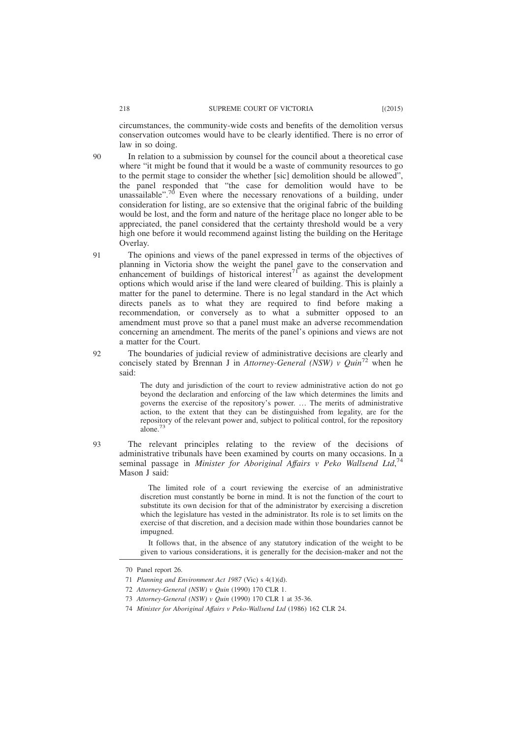circumstances, the community-wide costs and benefits of the demolition versus conservation outcomes would have to be clearly identified. There is no error of law in so doing.

 $90$ 

In relation to a submission by counsel for the council about a theoretical case where "it might be found that it would be a waste of community resources to go to the permit stage to consider the whether [sic] demolition should be allowed", the panel responded that "the case for demolition would have to be unassailable".<sup>70</sup> Even where the necessary renovations of a building, under consideration for listing, are so extensive that the original fabric of the building would be lost, and the form and nature of the heritage place no longer able to be appreciated, the panel considered that the certainty threshold would be a very high one before it would recommend against listing the building on the Heritage Overlay.

The opinions and views of the panel expressed in terms of the objectives of planning in Victoria show the weight the panel gave to the conservation and enhancement of buildings of historical interest<sup>71</sup> as against the development options which would arise if the land were cleared of building. This is plainly a matter for the panel to determine. There is no legal standard in the Act which directs panels as to what they are required to find before making a recommendation, or conversely as to what a submitter opposed to an amendment must prove so that a panel must make an adverse recommendation concerning an amendment. The merits of the panel's opinions and views are not a matter for the Court. 91

The boundaries of judicial review of administrative decisions are clearly and concisely stated by Brennan J in *Attorney-General (NSW) v Quin*<sup>72</sup> when he said:

The duty and jurisdiction of the court to review administrative action do not go beyond the declaration and enforcing of the law which determines the limits and governs the exercise of the repository's power. … The merits of administrative action, to the extent that they can be distinguished from legality, are for the repository of the relevant power and, subject to political control, for the repository alone.<sup>7</sup>

The relevant principles relating to the review of the decisions of administrative tribunals have been examined by courts on many occasions. In a seminal passage in *Minister for Aboriginal Affairs v Peko Wallsend Ltd*, 74 Mason J said:

> The limited role of a court reviewing the exercise of an administrative discretion must constantly be borne in mind. It is not the function of the court to substitute its own decision for that of the administrator by exercising a discretion which the legislature has vested in the administrator. Its role is to set limits on the exercise of that discretion, and a decision made within those boundaries cannot be impugned.

> It follows that, in the absence of any statutory indication of the weight to be given to various considerations, it is generally for the decision-maker and not the

92

<sup>70</sup> Panel report 26.

<sup>71</sup> *Planning and Environment Act 1987* (Vic) s 4(1)(d).

<sup>72</sup> *Attorney-General (NSW) v Quin* (1990) 170 CLR 1.

<sup>73</sup> *Attorney-General (NSW) v Quin* (1990) 170 CLR 1 at 35-36.

<sup>74</sup> *Minister for Aboriginal Affairs v Peko-Wallsend Ltd* (1986) 162 CLR 24.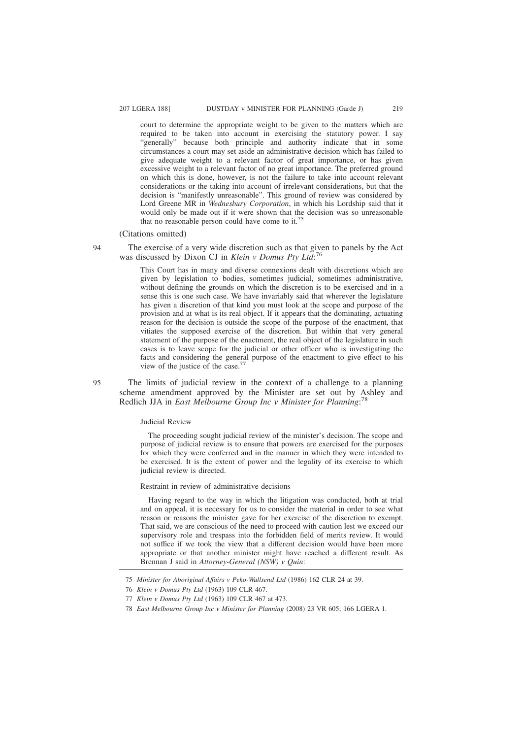court to determine the appropriate weight to be given to the matters which are required to be taken into account in exercising the statutory power. I say "generally" because both principle and authority indicate that in some circumstances a court may set aside an administrative decision which has failed to give adequate weight to a relevant factor of great importance, or has given excessive weight to a relevant factor of no great importance. The preferred ground on which this is done, however, is not the failure to take into account relevant considerations or the taking into account of irrelevant considerations, but that the decision is "manifestly unreasonable". This ground of review was considered by Lord Greene MR in *Wednesbury Corporation*, in which his Lordship said that it would only be made out if it were shown that the decision was so unreasonable that no reasonable person could have come to it.<sup>75</sup>

## (Citations omitted)

# The exercise of a very wide discretion such as that given to panels by the Act was discussed by Dixon CJ in *Klein v Domus Pty Ltd*: 76

This Court has in many and diverse connexions dealt with discretions which are given by legislation to bodies, sometimes judicial, sometimes administrative, without defining the grounds on which the discretion is to be exercised and in a sense this is one such case. We have invariably said that wherever the legislature has given a discretion of that kind you must look at the scope and purpose of the provision and at what is its real object. If it appears that the dominating, actuating reason for the decision is outside the scope of the purpose of the enactment, that vitiates the supposed exercise of the discretion. But within that very general statement of the purpose of the enactment, the real object of the legislature in such cases is to leave scope for the judicial or other officer who is investigating the facts and considering the general purpose of the enactment to give effect to his view of the justice of the case.<sup>7</sup>

The limits of judicial review in the context of a challenge to a planning scheme amendment approved by the Minister are set out by Ashley and Redlich JJA in *East Melbourne Group Inc v Minister for Planning*: 78 95

### Judicial Review

The proceeding sought judicial review of the minister's decision. The scope and purpose of judicial review is to ensure that powers are exercised for the purposes for which they were conferred and in the manner in which they were intended to be exercised. It is the extent of power and the legality of its exercise to which judicial review is directed.

Restraint in review of administrative decisions

Having regard to the way in which the litigation was conducted, both at trial and on appeal, it is necessary for us to consider the material in order to see what reason or reasons the minister gave for her exercise of the discretion to exempt. That said, we are conscious of the need to proceed with caution lest we exceed our supervisory role and trespass into the forbidden field of merits review. It would not suffice if we took the view that a different decision would have been more appropriate or that another minister might have reached a different result. As Brennan J said in *Attorney-General (NSW) v Quin*:

<sup>75</sup> *Minister for Aboriginal Affairs v Peko-Wallsend Ltd* (1986) 162 CLR 24 at 39.

<sup>76</sup> *Klein v Domus Pty Ltd* (1963) 109 CLR 467.

<sup>77</sup> *Klein v Domus Pty Ltd* (1963) 109 CLR 467 at 473.

<sup>78</sup> *East Melbourne Group Inc v Minister for Planning* (2008) 23 VR 605; 166 LGERA 1.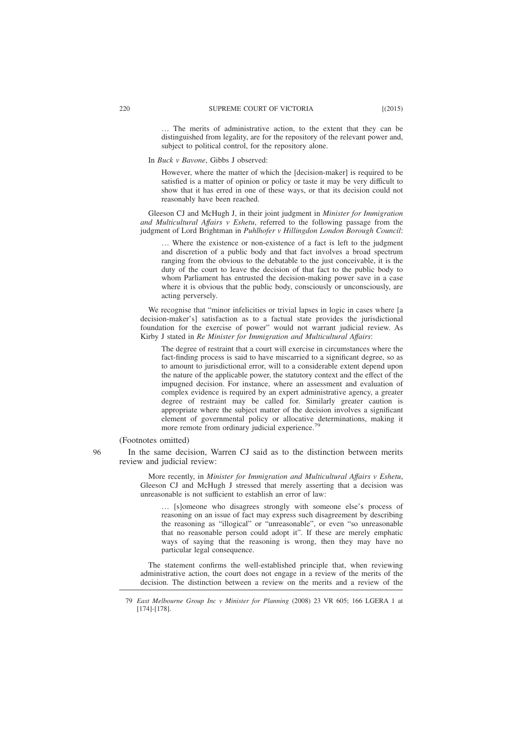… The merits of administrative action, to the extent that they can be distinguished from legality, are for the repository of the relevant power and, subject to political control, for the repository alone.

In *Buck v Bavone*, Gibbs J observed:

However, where the matter of which the [decision-maker] is required to be satisfied is a matter of opinion or policy or taste it may be very difficult to show that it has erred in one of these ways, or that its decision could not reasonably have been reached.

Gleeson CJ and McHugh J, in their joint judgment in *Minister for Immigration and Multicultural Affairs v Eshetu*, referred to the following passage from the judgment of Lord Brightman in *Puhlhofer v Hillingdon London Borough Council*:

… Where the existence or non-existence of a fact is left to the judgment and discretion of a public body and that fact involves a broad spectrum ranging from the obvious to the debatable to the just conceivable, it is the duty of the court to leave the decision of that fact to the public body to whom Parliament has entrusted the decision-making power save in a case where it is obvious that the public body, consciously or unconsciously, are acting perversely.

We recognise that "minor infelicities or trivial lapses in logic in cases where [a decision-maker's] satisfaction as to a factual state provides the jurisdictional foundation for the exercise of power" would not warrant judicial review. As Kirby J stated in *Re Minister for Immigration and Multicultural Affairs*:

The degree of restraint that a court will exercise in circumstances where the fact-finding process is said to have miscarried to a significant degree, so as to amount to jurisdictional error, will to a considerable extent depend upon the nature of the applicable power, the statutory context and the effect of the impugned decision. For instance, where an assessment and evaluation of complex evidence is required by an expert administrative agency, a greater degree of restraint may be called for. Similarly greater caution is appropriate where the subject matter of the decision involves a significant element of governmental policy or allocative determinations, making it more remote from ordinary judicial experience.<sup>79</sup>

(Footnotes omitted)

96

In the same decision, Warren CJ said as to the distinction between merits review and judicial review:

More recently, in *Minister for Immigration and Multicultural Affairs v Eshetu*, Gleeson CJ and McHugh J stressed that merely asserting that a decision was unreasonable is not sufficient to establish an error of law:

… [s]omeone who disagrees strongly with someone else's process of reasoning on an issue of fact may express such disagreement by describing the reasoning as "illogical" or "unreasonable", or even "so unreasonable that no reasonable person could adopt it". If these are merely emphatic ways of saying that the reasoning is wrong, then they may have no particular legal consequence.

The statement confirms the well-established principle that, when reviewing administrative action, the court does not engage in a review of the merits of the decision. The distinction between a review on the merits and a review of the

<sup>79</sup> *East Melbourne Group Inc v Minister for Planning* (2008) 23 VR 605; 166 LGERA 1 at [174]-[178].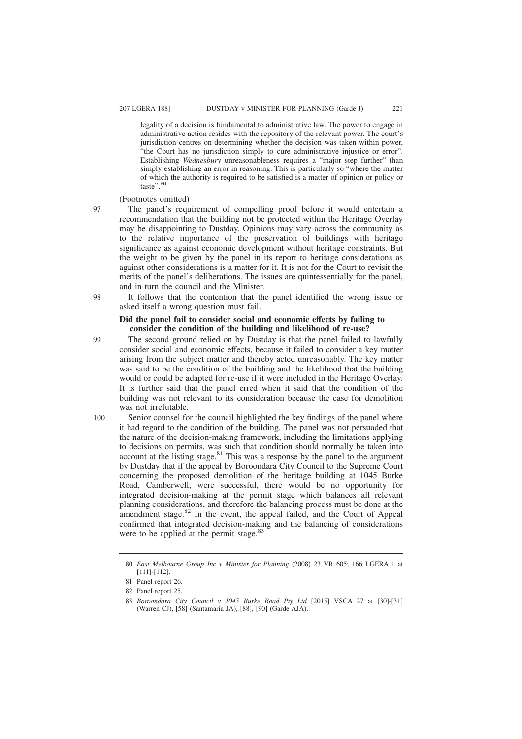legality of a decision is fundamental to administrative law. The power to engage in administrative action resides with the repository of the relevant power. The court's jurisdiction centres on determining whether the decision was taken within power, "the Court has no jurisdiction simply to cure administrative injustice or error". Establishing *Wednesbury* unreasonableness requires a "major step further" than simply establishing an error in reasoning. This is particularly so "where the matter of which the authority is required to be satisfied is a matter of opinion or policy or taste".<sup>80</sup>

# (Footnotes omitted)

The panel's requirement of compelling proof before it would entertain a recommendation that the building not be protected within the Heritage Overlay may be disappointing to Dustday. Opinions may vary across the community as to the relative importance of the preservation of buildings with heritage significance as against economic development without heritage constraints. But the weight to be given by the panel in its report to heritage considerations as against other considerations is a matter for it. It is not for the Court to revisit the merits of the panel's deliberations. The issues are quintessentially for the panel, and in turn the council and the Minister.

It follows that the contention that the panel identified the wrong issue or asked itself a wrong question must fail.

## **Did the panel fail to consider social and economic effects by failing to consider the condition of the building and likelihood of re-use?**

99

100

98

97

The second ground relied on by Dustday is that the panel failed to lawfully consider social and economic effects, because it failed to consider a key matter arising from the subject matter and thereby acted unreasonably. The key matter was said to be the condition of the building and the likelihood that the building would or could be adapted for re-use if it were included in the Heritage Overlay. It is further said that the panel erred when it said that the condition of the building was not relevant to its consideration because the case for demolition was not irrefutable.

Senior counsel for the council highlighted the key findings of the panel where it had regard to the condition of the building. The panel was not persuaded that the nature of the decision-making framework, including the limitations applying to decisions on permits, was such that condition should normally be taken into account at the listing stage. $81$  This was a response by the panel to the argument by Dustday that if the appeal by Boroondara City Council to the Supreme Court concerning the proposed demolition of the heritage building at 1045 Burke Road, Camberwell, were successful, there would be no opportunity for integrated decision-making at the permit stage which balances all relevant planning considerations, and therefore the balancing process must be done at the amendment stage. $82$  In the event, the appeal failed, and the Court of Appeal confirmed that integrated decision-making and the balancing of considerations were to be applied at the permit stage.<sup>83</sup>

<sup>80</sup> *East Melbourne Group Inc v Minister for Planning* (2008) 23 VR 605; 166 LGERA 1 at [111]-[112].

<sup>81</sup> Panel report 26.

<sup>82</sup> Panel report 25.

<sup>83</sup> *Boroondara City Council v 1045 Burke Road Pty Ltd* [2015] VSCA 27 at [30]-[31] (Warren CJ), [58] (Santamaria JA), [88], [90] (Garde AJA).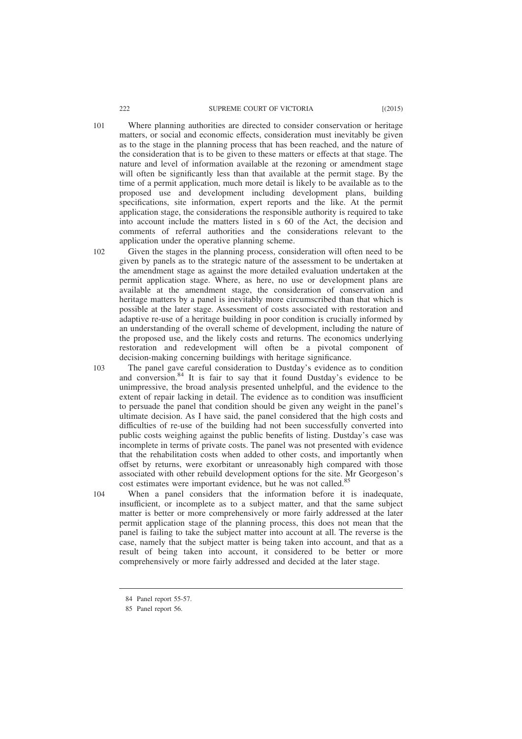- Where planning authorities are directed to consider conservation or heritage matters, or social and economic effects, consideration must inevitably be given as to the stage in the planning process that has been reached, and the nature of the consideration that is to be given to these matters or effects at that stage. The nature and level of information available at the rezoning or amendment stage will often be significantly less than that available at the permit stage. By the time of a permit application, much more detail is likely to be available as to the proposed use and development including development plans, building specifications, site information, expert reports and the like. At the permit application stage, the considerations the responsible authority is required to take into account include the matters listed in s 60 of the Act, the decision and comments of referral authorities and the considerations relevant to the application under the operative planning scheme.
- Given the stages in the planning process, consideration will often need to be given by panels as to the strategic nature of the assessment to be undertaken at the amendment stage as against the more detailed evaluation undertaken at the permit application stage. Where, as here, no use or development plans are available at the amendment stage, the consideration of conservation and heritage matters by a panel is inevitably more circumscribed than that which is possible at the later stage. Assessment of costs associated with restoration and adaptive re-use of a heritage building in poor condition is crucially informed by an understanding of the overall scheme of development, including the nature of the proposed use, and the likely costs and returns. The economics underlying restoration and redevelopment will often be a pivotal component of decision-making concerning buildings with heritage significance. 102
- The panel gave careful consideration to Dustday's evidence as to condition and conversion.<sup>84</sup> It is fair to say that it found Dustday's evidence to be unimpressive, the broad analysis presented unhelpful, and the evidence to the extent of repair lacking in detail. The evidence as to condition was insufficient to persuade the panel that condition should be given any weight in the panel's ultimate decision. As I have said, the panel considered that the high costs and difficulties of re-use of the building had not been successfully converted into public costs weighing against the public benefits of listing. Dustday's case was incomplete in terms of private costs. The panel was not presented with evidence that the rehabilitation costs when added to other costs, and importantly when offset by returns, were exorbitant or unreasonably high compared with those associated with other rebuild development options for the site. Mr Georgeson's cost estimates were important evidence, but he was not called.<sup>85</sup> 103 104

When a panel considers that the information before it is inadequate, insufficient, or incomplete as to a subject matter, and that the same subject matter is better or more comprehensively or more fairly addressed at the later permit application stage of the planning process, this does not mean that the panel is failing to take the subject matter into account at all. The reverse is the case, namely that the subject matter is being taken into account, and that as a result of being taken into account, it considered to be better or more comprehensively or more fairly addressed and decided at the later stage.

<sup>84</sup> Panel report 55-57.

<sup>85</sup> Panel report 56.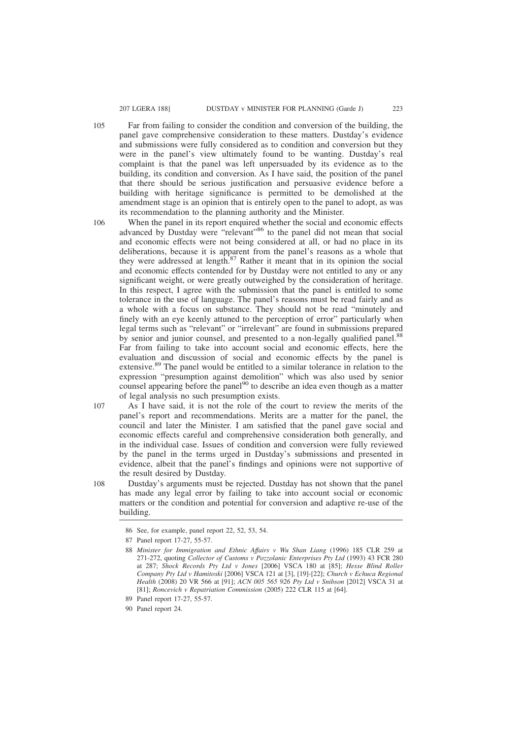Far from failing to consider the condition and conversion of the building, the panel gave comprehensive consideration to these matters. Dustday's evidence and submissions were fully considered as to condition and conversion but they were in the panel's view ultimately found to be wanting. Dustday's real complaint is that the panel was left unpersuaded by its evidence as to the building, its condition and conversion. As I have said, the position of the panel that there should be serious justification and persuasive evidence before a building with heritage significance is permitted to be demolished at the amendment stage is an opinion that is entirely open to the panel to adopt, as was its recommendation to the planning authority and the Minister.

106

- When the panel in its report enquired whether the social and economic effects advanced by Dustday were "relevant"<sup>86</sup> to the panel did not mean that social and economic effects were not being considered at all, or had no place in its deliberations, because it is apparent from the panel's reasons as a whole that they were addressed at length. $87$  Rather it meant that in its opinion the social and economic effects contended for by Dustday were not entitled to any or any significant weight, or were greatly outweighed by the consideration of heritage. In this respect, I agree with the submission that the panel is entitled to some tolerance in the use of language. The panel's reasons must be read fairly and as a whole with a focus on substance. They should not be read "minutely and finely with an eye keenly attuned to the perception of error" particularly when legal terms such as "relevant" or "irrelevant" are found in submissions prepared by senior and junior counsel, and presented to a non-legally qualified panel.<sup>88</sup> Far from failing to take into account social and economic effects, here the evaluation and discussion of social and economic effects by the panel is extensive.<sup>89</sup> The panel would be entitled to a similar tolerance in relation to the expression "presumption against demolition" which was also used by senior counsel appearing before the panel<sup>90</sup> to describe an idea even though as a matter of legal analysis no such presumption exists.
- As I have said, it is not the role of the court to review the merits of the panel's report and recommendations. Merits are a matter for the panel, the council and later the Minister. I am satisfied that the panel gave social and economic effects careful and comprehensive consideration both generally, and in the individual case. Issues of condition and conversion were fully reviewed by the panel in the terms urged in Dustday's submissions and presented in evidence, albeit that the panel's findings and opinions were not supportive of the result desired by Dustday. 107

108

Dustday's arguments must be rejected. Dustday has not shown that the panel has made any legal error by failing to take into account social or economic matters or the condition and potential for conversion and adaptive re-use of the building.

<sup>86</sup> See, for example, panel report 22, 52, 53, 54.

<sup>87</sup> Panel report 17-27, 55-57.

<sup>88</sup> *Minister for Immigration and Ethnic Affairs v Wu Shan Liang* (1996) 185 CLR 259 at 271-272, quoting *Collector of Customs v Pozzolanic Enterprises Pty Ltd* (1993) 43 FCR 280 at 287; *Shock Records Pty Ltd v Jones* [2006] VSCA 180 at [85]; *Hesse Blind Roller Company Pty Ltd v Hamitoski* [2006] VSCA 121 at [3], [19]-[22]; *Church v Echuca Regional Health* (2008) 20 VR 566 at [91]; *ACN 005 565 926 Pty Ltd v Snibson* [2012] VSCA 31 at [81]; *Roncevich v Repatriation Commission* (2005) 222 CLR 115 at [64].

<sup>89</sup> Panel report 17-27, 55-57.

<sup>90</sup> Panel report 24.